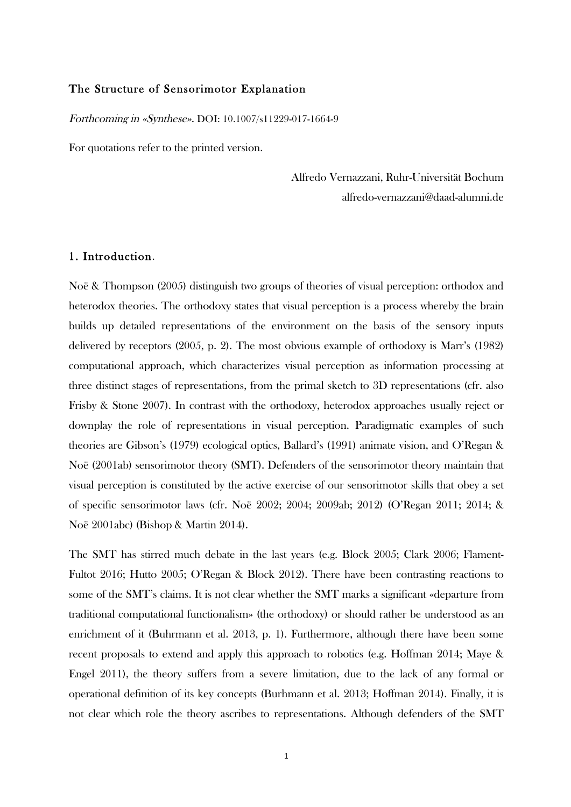## The Structure of Sensorimotor Explanation

Forthcoming in «Synthese». DOI: 10.1007/s11229-017-1664-9

For quotations refer to the printed version.

Alfredo Vernazzani, Ruhr-Universität Bochum alfredo-vernazzani@daad-alumni.de

## 1. Introduction.

Noë & Thompson (2005) distinguish two groups of theories of visual perception: orthodox and heterodox theories. The orthodoxy states that visual perception is a process whereby the brain builds up detailed representations of the environment on the basis of the sensory inputs delivered by receptors (2005, p. 2). The most obvious example of orthodoxy is Marr's (1982) computational approach, which characterizes visual perception as information processing at three distinct stages of representations, from the primal sketch to 3D representations (cfr. also Frisby & Stone 2007). In contrast with the orthodoxy, heterodox approaches usually reject or downplay the role of representations in visual perception. Paradigmatic examples of such theories are Gibson's (1979) ecological optics, Ballard's (1991) animate vision, and O'Regan & Noë (2001ab) sensorimotor theory (SMT). Defenders of the sensorimotor theory maintain that visual perception is constituted by the active exercise of our sensorimotor skills that obey a set of specific sensorimotor laws (cfr. Noë 2002; 2004; 2009ab; 2012) (O'Regan 2011; 2014; & Noë 2001abc) (Bishop & Martin 2014).

The SMT has stirred much debate in the last years (e.g. Block 2005; Clark 2006; Flament-Fultot 2016; Hutto 2005; O'Regan & Block 2012). There have been contrasting reactions to some of the SMT's claims. It is not clear whether the SMT marks a significant «departure from traditional computational functionalism» (the orthodoxy) or should rather be understood as an enrichment of it (Buhrmann et al. 2013, p. 1). Furthermore, although there have been some recent proposals to extend and apply this approach to robotics (e.g. Hoffman 2014; Maye & Engel 2011), the theory suffers from a severe limitation, due to the lack of any formal or operational definition of its key concepts (Burhmann et al. 2013; Hoffman 2014). Finally, it is not clear which role the theory ascribes to representations. Although defenders of the SMT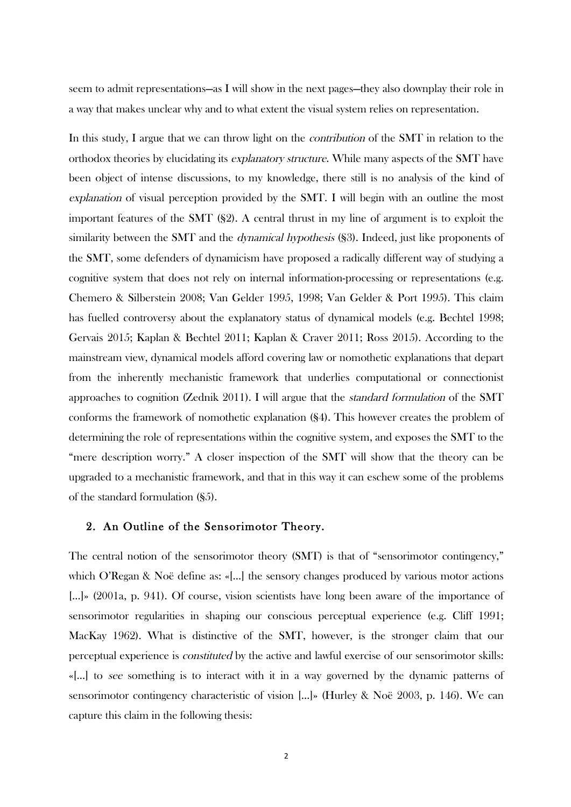seem to admit representations—as I will show in the next pages—they also downplay their role in a way that makes unclear why and to what extent the visual system relies on representation.

In this study, I argue that we can throw light on the contribution of the SMT in relation to the orthodox theories by elucidating its explanatory structure. While many aspects of the SMT have been object of intense discussions, to my knowledge, there still is no analysis of the kind of explanation of visual perception provided by the SMT. I will begin with an outline the most important features of the SMT (§2). A central thrust in my line of argument is to exploit the similarity between the SMT and the *dynamical hypothesis* (§3). Indeed, just like proponents of the SMT, some defenders of dynamicism have proposed a radically different way of studying a cognitive system that does not rely on internal information-processing or representations (e.g. Chemero & Silberstein 2008; Van Gelder 1995, 1998; Van Gelder & Port 1995). This claim has fuelled controversy about the explanatory status of dynamical models (e.g. Bechtel 1998; Gervais 2015; Kaplan & Bechtel 2011; Kaplan & Craver 2011; Ross 2015). According to the mainstream view, dynamical models afford covering law or nomothetic explanations that depart from the inherently mechanistic framework that underlies computational or connectionist approaches to cognition (Zednik 2011). I will argue that the standard formulation of the SMT conforms the framework of nomothetic explanation (§4). This however creates the problem of determining the role of representations within the cognitive system, and exposes the SMT to the "mere description worry." A closer inspection of the SMT will show that the theory can be upgraded to a mechanistic framework, and that in this way it can eschew some of the problems of the standard formulation (§5).

## 2. An Outline of the Sensorimotor Theory.

The central notion of the sensorimotor theory (SMT) is that of "sensorimotor contingency," which O'Regan & Noë define as: «[…] the sensory changes produced by various motor actions […]» (2001a, p. 941). Of course, vision scientists have long been aware of the importance of sensorimotor regularities in shaping our conscious perceptual experience (e.g. Cliff 1991; MacKay 1962). What is distinctive of the SMT, however, is the stronger claim that our perceptual experience is constituted by the active and lawful exercise of our sensorimotor skills: «[…] to see something is to interact with it in a way governed by the dynamic patterns of sensorimotor contingency characteristic of vision […]» (Hurley & Noë 2003, p. 146). We can capture this claim in the following thesis: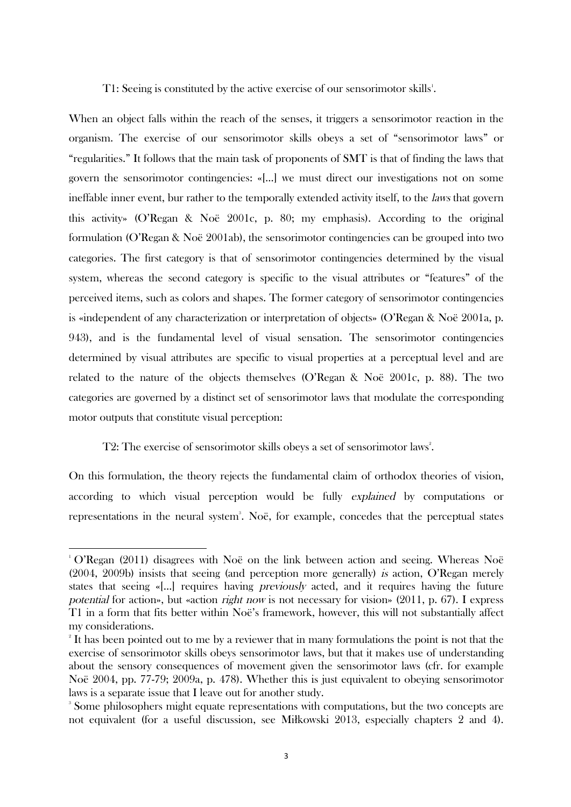T1: Seeing is constituted by the active exercise of our sensorimotor skills<sup>1</sup>.

When an object falls within the reach of the senses, it triggers a sensorimotor reaction in the organism. The exercise of our sensorimotor skills obeys a set of "sensorimotor laws" or "regularities." It follows that the main task of proponents of SMT is that of finding the laws that govern the sensorimotor contingencies: «[…] we must direct our investigations not on some ineffable inner event, bur rather to the temporally extended activity itself, to the laws that govern this activity» (O'Regan & Noë 2001c, p. 80; my emphasis). According to the original formulation (O'Regan & Noë 2001ab), the sensorimotor contingencies can be grouped into two categories. The first category is that of sensorimotor contingencies determined by the visual system, whereas the second category is specific to the visual attributes or "features" of the perceived items, such as colors and shapes. The former category of sensorimotor contingencies is «independent of any characterization or interpretation of objects» (O'Regan & Noë 2001a, p. 943), and is the fundamental level of visual sensation. The sensorimotor contingencies determined by visual attributes are specific to visual properties at a perceptual level and are related to the nature of the objects themselves (O'Regan & Noë 2001c, p. 88). The two categories are governed by a distinct set of sensorimotor laws that modulate the corresponding motor outputs that constitute visual perception:

T2: The exercise of sensorimotor skills obeys a set of sensorimotor laws<sup>2</sup>.

<u> 1989 - Jan Samuel Barbara, margaret e</u>

On this formulation, the theory rejects the fundamental claim of orthodox theories of vision, according to which visual perception would be fully explained by computations or representations in the neural system<sup>3</sup>. Noë, for example, concedes that the perceptual states

<sup>1</sup> O'Regan (2011) disagrees with Noë on the link between action and seeing. Whereas Noë (2004, 2009b) insists that seeing (and perception more generally) is action, O'Regan merely states that seeing «[…] requires having previously acted, and it requires having the future potential for action», but «action right now is not necessary for vision» (2011, p. 67). I express T1 in a form that fits better within Noë's framework, however, this will not substantially affect my considerations. 2

<sup>&</sup>lt;sup>2</sup> It has been pointed out to me by a reviewer that in many formulations the point is not that the exercise of sensorimotor skills obeys sensorimotor laws, but that it makes use of understanding about the sensory consequences of movement given the sensorimotor laws (cfr. for example Noë 2004, pp. 77-79; 2009a, p. 478). Whether this is just equivalent to obeying sensorimotor laws is a separate issue that I leave out for another study.

<sup>3</sup> Some philosophers might equate representations with computations, but the two concepts are not equivalent (for a useful discussion, see Miłkowski 2013, especially chapters 2 and 4).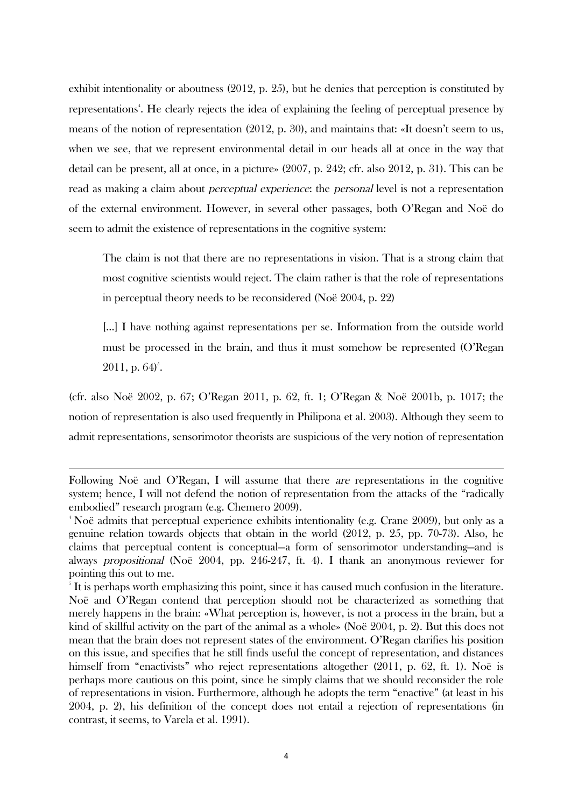exhibit intentionality or aboutness (2012, p. 25), but he denies that perception is constituted by representations<sup>4</sup>. He clearly rejects the idea of explaining the feeling of perceptual presence by means of the notion of representation (2012, p. 30), and maintains that: «It doesn't seem to us, when we see, that we represent environmental detail in our heads all at once in the way that detail can be present, all at once, in a picture» (2007, p. 242; cfr. also 2012, p. 31). This can be read as making a claim about perceptual experience: the personal level is not a representation of the external environment. However, in several other passages, both O'Regan and Noë do seem to admit the existence of representations in the cognitive system:

The claim is not that there are no representations in vision. That is a strong claim that most cognitive scientists would reject. The claim rather is that the role of representations in perceptual theory needs to be reconsidered (Noë 2004, p. 22)

[…] I have nothing against representations per se. Information from the outside world must be processed in the brain, and thus it must somehow be represented (O'Regan  $2011$ , p.  $64)^{5}$ .

(cfr. also Noë 2002, p. 67; O'Regan 2011, p. 62, ft. 1; O'Regan & Noë 2001b, p. 1017; the notion of representation is also used frequently in Philipona et al. 2003). Although they seem to admit representations, sensorimotor theorists are suspicious of the very notion of representation

<u> 1989 - Andrea Santa Andrea Andrea Andrea Andrea Andrea Andrea Andrea Andrea Andrea Andrea Andrea Andrea Andr</u>

Following Noë and O'Regan, I will assume that there are representations in the cognitive system; hence, I will not defend the notion of representation from the attacks of the "radically embodied" research program (e.g. Chemero 2009).

<sup>4</sup> Noë admits that perceptual experience exhibits intentionality (e.g. Crane 2009), but only as a genuine relation towards objects that obtain in the world (2012, p. 25, pp. 70-73). Also, he claims that perceptual content is conceptual—a form of sensorimotor understanding—and is always propositional (Noë 2004, pp. 246-247, ft. 4). I thank an anonymous reviewer for pointing this out to me.

 $\delta$  It is perhaps worth emphasizing this point, since it has caused much confusion in the literature. Noë and O'Regan contend that perception should not be characterized as something that merely happens in the brain: «What perception is, however, is not a process in the brain, but a kind of skillful activity on the part of the animal as a whole» (Noë 2004, p. 2). But this does not mean that the brain does not represent states of the environment. O'Regan clarifies his position on this issue, and specifies that he still finds useful the concept of representation, and distances himself from "enactivists" who reject representations altogether (2011, p. 62, ft. 1). Noë is perhaps more cautious on this point, since he simply claims that we should reconsider the role of representations in vision. Furthermore, although he adopts the term "enactive" (at least in his 2004, p. 2), his definition of the concept does not entail a rejection of representations (in contrast, it seems, to Varela et al. 1991).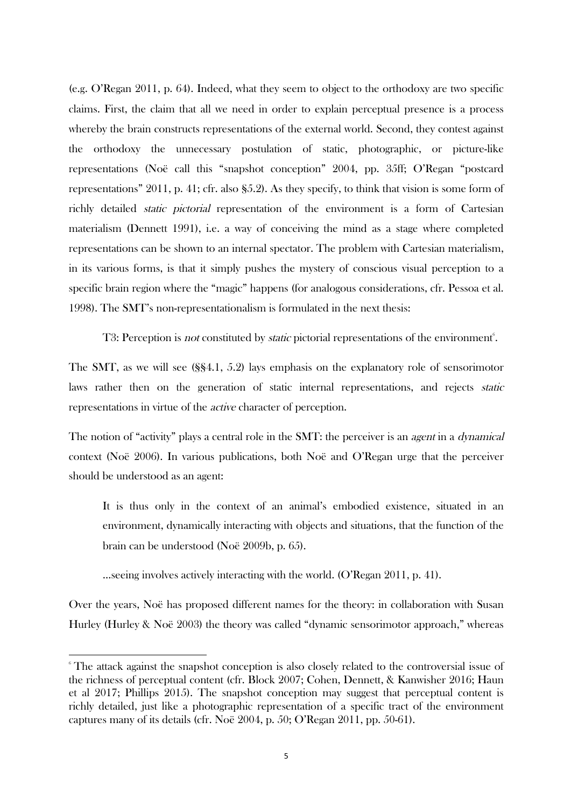(e.g. O'Regan 2011, p. 64). Indeed, what they seem to object to the orthodoxy are two specific claims. First, the claim that all we need in order to explain perceptual presence is a process whereby the brain constructs representations of the external world. Second, they contest against the orthodoxy the unnecessary postulation of static, photographic, or picture-like representations (Noë call this "snapshot conception" 2004, pp. 35ff; O'Regan "postcard representations" 2011, p. 41; cfr. also §5.2). As they specify, to think that vision is some form of richly detailed static pictorial representation of the environment is a form of Cartesian materialism (Dennett 1991), i.e. a way of conceiving the mind as a stage where completed representations can be shown to an internal spectator. The problem with Cartesian materialism, in its various forms, is that it simply pushes the mystery of conscious visual perception to a specific brain region where the "magic" happens (for analogous considerations, cfr. Pessoa et al. 1998). The SMT's non-representationalism is formulated in the next thesis:

T3: Perception is *not* constituted by *static* pictorial representations of the environment<sup>6</sup>.

The SMT, as we will see (§§4.1, 5.2) lays emphasis on the explanatory role of sensorimotor laws rather then on the generation of static internal representations, and rejects static representations in virtue of the active character of perception.

The notion of "activity" plays a central role in the SMT: the perceiver is an *agent* in a *dynamical* context (Noë 2006). In various publications, both Noë and O'Regan urge that the perceiver should be understood as an agent:

It is thus only in the context of an animal's embodied existence, situated in an environment, dynamically interacting with objects and situations, that the function of the brain can be understood (Noë 2009b, p. 65).

…seeing involves actively interacting with the world. (O'Regan 2011, p. 41).

 

Over the years, Noë has proposed different names for the theory: in collaboration with Susan Hurley (Hurley & Noë 2003) the theory was called "dynamic sensorimotor approach," whereas

<sup>6</sup> The attack against the snapshot conception is also closely related to the controversial issue of the richness of perceptual content (cfr. Block 2007; Cohen, Dennett, & Kanwisher 2016; Haun et al 2017; Phillips 2015). The snapshot conception may suggest that perceptual content is richly detailed, just like a photographic representation of a specific tract of the environment captures many of its details (cfr. Noë 2004, p. 50; O'Regan 2011, pp. 50-61).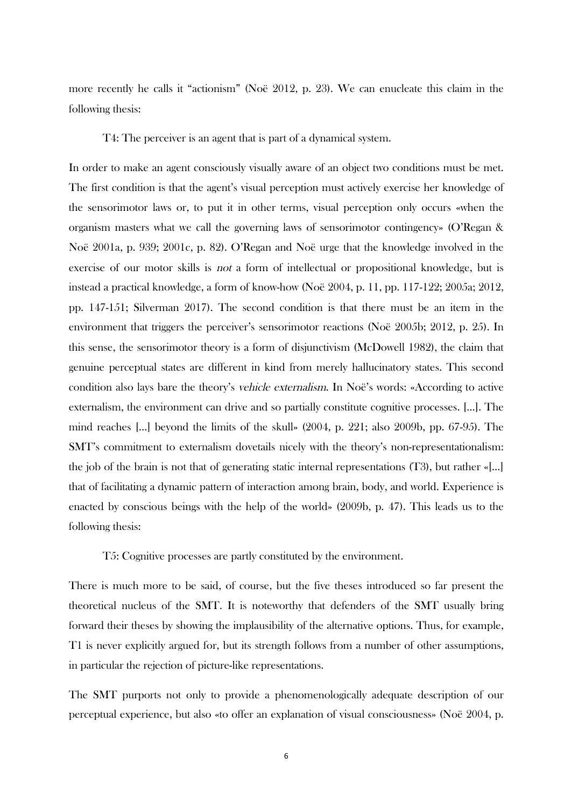more recently he calls it "actionism" (Noë 2012, p. 23). We can enucleate this claim in the following thesis:

T4: The perceiver is an agent that is part of a dynamical system.

In order to make an agent consciously visually aware of an object two conditions must be met. The first condition is that the agent's visual perception must actively exercise her knowledge of the sensorimotor laws or, to put it in other terms, visual perception only occurs «when the organism masters what we call the governing laws of sensorimotor contingency» (O'Regan & Noë 2001a, p. 939; 2001c, p. 82). O'Regan and Noë urge that the knowledge involved in the exercise of our motor skills is not a form of intellectual or propositional knowledge, but is instead a practical knowledge, a form of know-how (Noë 2004, p. 11, pp. 117-122; 2005a; 2012, pp. 147-151; Silverman 2017). The second condition is that there must be an item in the environment that triggers the perceiver's sensorimotor reactions (Noë 2005b; 2012, p. 25). In this sense, the sensorimotor theory is a form of disjunctivism (McDowell 1982), the claim that genuine perceptual states are different in kind from merely hallucinatory states. This second condition also lays bare the theory's vehicle externalism. In Noë's words: «According to active externalism, the environment can drive and so partially constitute cognitive processes. […]. The mind reaches […] beyond the limits of the skull» (2004, p. 221; also 2009b, pp. 67-95). The SMT's commitment to externalism dovetails nicely with the theory's non-representationalism: the job of the brain is not that of generating static internal representations  $(T3)$ , but rather «[...] that of facilitating a dynamic pattern of interaction among brain, body, and world. Experience is enacted by conscious beings with the help of the world» (2009b, p. 47). This leads us to the following thesis:

T5: Cognitive processes are partly constituted by the environment.

There is much more to be said, of course, but the five theses introduced so far present the theoretical nucleus of the SMT. It is noteworthy that defenders of the SMT usually bring forward their theses by showing the implausibility of the alternative options. Thus, for example, T1 is never explicitly argued for, but its strength follows from a number of other assumptions, in particular the rejection of picture-like representations.

The SMT purports not only to provide a phenomenologically adequate description of our perceptual experience, but also «to offer an explanation of visual consciousness» (Noë 2004, p.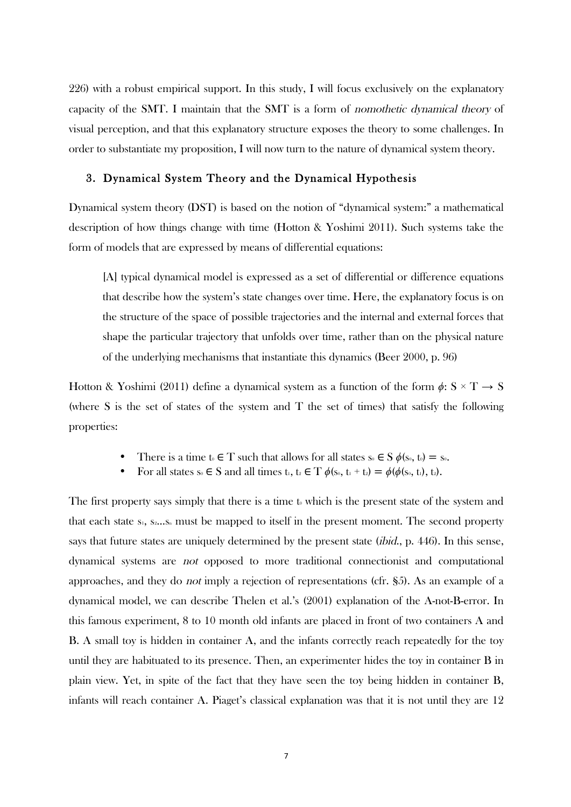226) with a robust empirical support. In this study, I will focus exclusively on the explanatory capacity of the SMT. I maintain that the SMT is a form of nomothetic dynamical theory of visual perception, and that this explanatory structure exposes the theory to some challenges. In order to substantiate my proposition, I will now turn to the nature of dynamical system theory.

## 3. Dynamical System Theory and the Dynamical Hypothesis

Dynamical system theory (DST) is based on the notion of "dynamical system:" a mathematical description of how things change with time (Hotton & Yoshimi 2011). Such systems take the form of models that are expressed by means of differential equations:

[A] typical dynamical model is expressed as a set of differential or difference equations that describe how the system's state changes over time. Here, the explanatory focus is on the structure of the space of possible trajectories and the internal and external forces that shape the particular trajectory that unfolds over time, rather than on the physical nature of the underlying mechanisms that instantiate this dynamics (Beer 2000, p. 96)

Hotton & Yoshimi (2011) define a dynamical system as a function of the form  $\phi: S \times T \rightarrow S$ (where S is the set of states of the system and T the set of times) that satisfy the following properties:

- There is a time t<sub>0</sub> ∈ T such that allows for all states  $s_0 \in S$   $\phi(s_0, t_0) = s_0$ .
- For all states  $s_0 \in S$  and all times  $t_1, t_2 \in T$   $\phi(s_0, t_1 + t_2) = \phi(\phi(s_0, t_1), t_2)$ .

The first property says simply that there is a time to which is the present state of the system and that each state s<sub>1</sub>, s<sub>2</sub>…s<sub>n</sub> must be mapped to itself in the present moment. The second property says that future states are uniquely determined by the present state *(ibid., p. 446)*. In this sense, dynamical systems are not opposed to more traditional connectionist and computational approaches, and they do not imply a rejection of representations (cfr. §5). As an example of a dynamical model, we can describe Thelen et al.'s (2001) explanation of the A-not-B-error. In this famous experiment, 8 to 10 month old infants are placed in front of two containers A and B. A small toy is hidden in container A, and the infants correctly reach repeatedly for the toy until they are habituated to its presence. Then, an experimenter hides the toy in container B in plain view. Yet, in spite of the fact that they have seen the toy being hidden in container B, infants will reach container A. Piaget's classical explanation was that it is not until they are 12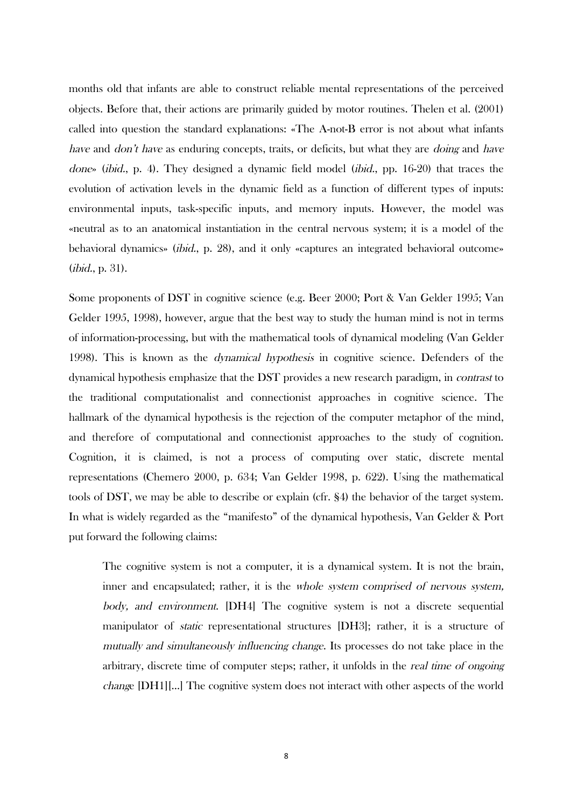months old that infants are able to construct reliable mental representations of the perceived objects. Before that, their actions are primarily guided by motor routines. Thelen et al. (2001) called into question the standard explanations: «The A-not-B error is not about what infants have and don't have as enduring concepts, traits, or deficits, but what they are doing and have done» (*ibid.*, p. 4). They designed a dynamic field model (*ibid.*, pp. 16-20) that traces the evolution of activation levels in the dynamic field as a function of different types of inputs: environmental inputs, task-specific inputs, and memory inputs. However, the model was «neutral as to an anatomical instantiation in the central nervous system; it is a model of the behavioral dynamics» (*ibid.*, p. 28), and it only «captures an integrated behavioral outcome» (ibid., p. 31).

Some proponents of DST in cognitive science (e.g. Beer 2000; Port & Van Gelder 1995; Van Gelder 1995, 1998), however, argue that the best way to study the human mind is not in terms of information-processing, but with the mathematical tools of dynamical modeling (Van Gelder 1998). This is known as the dynamical hypothesis in cognitive science. Defenders of the dynamical hypothesis emphasize that the DST provides a new research paradigm, in contrast to the traditional computationalist and connectionist approaches in cognitive science. The hallmark of the dynamical hypothesis is the rejection of the computer metaphor of the mind, and therefore of computational and connectionist approaches to the study of cognition. Cognition, it is claimed, is not a process of computing over static, discrete mental representations (Chemero 2000, p. 634; Van Gelder 1998, p. 622). Using the mathematical tools of DST, we may be able to describe or explain (cfr. §4) the behavior of the target system. In what is widely regarded as the "manifesto" of the dynamical hypothesis, Van Gelder & Port put forward the following claims:

The cognitive system is not a computer, it is a dynamical system. It is not the brain, inner and encapsulated; rather, it is the whole system comprised of nervous system, body, and environment. [DH4] The cognitive system is not a discrete sequential manipulator of *static* representational structures [DH3]; rather, it is a structure of mutually and simultaneously influencing change. Its processes do not take place in the arbitrary, discrete time of computer steps; rather, it unfolds in the real time of ongoing change [DH1][…] The cognitive system does not interact with other aspects of the world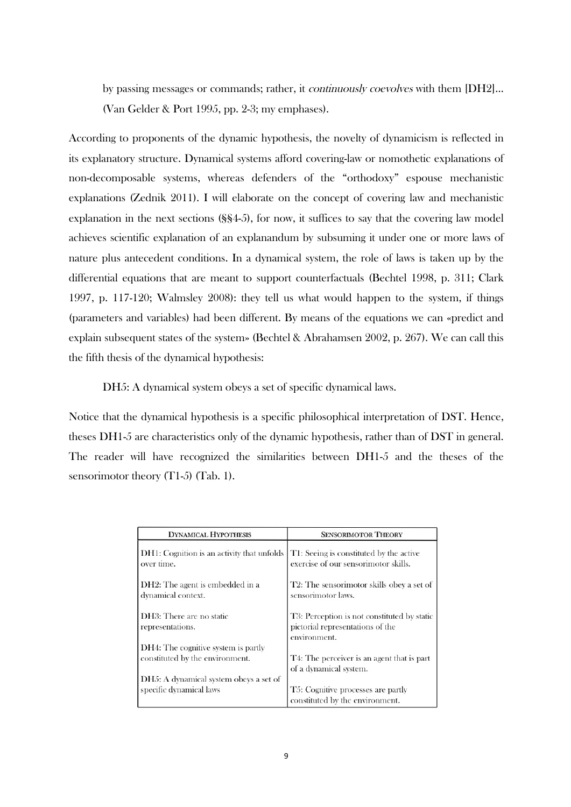by passing messages or commands; rather, it continuously coevolves with them [DH2]… (Van Gelder & Port 1995, pp. 2-3; my emphases).

According to proponents of the dynamic hypothesis, the novelty of dynamicism is reflected in its explanatory structure. Dynamical systems afford covering-law or nomothetic explanations of non-decomposable systems, whereas defenders of the "orthodoxy" espouse mechanistic explanations (Zednik 2011). I will elaborate on the concept of covering law and mechanistic explanation in the next sections (§§4-5), for now, it suffices to say that the covering law model achieves scientific explanation of an explanandum by subsuming it under one or more laws of nature plus antecedent conditions. In a dynamical system, the role of laws is taken up by the differential equations that are meant to support counterfactuals (Bechtel 1998, p. 311; Clark 1997, p. 117-120; Walmsley 2008): they tell us what would happen to the system, if things (parameters and variables) had been different. By means of the equations we can «predict and explain subsequent states of the system» (Bechtel & Abrahamsen 2002, p. 267). We can call this the fifth thesis of the dynamical hypothesis:

DH5: A dynamical system obeys a set of specific dynamical laws.

Notice that the dynamical hypothesis is a specific philosophical interpretation of DST. Hence, theses DH1-5 are characteristics only of the dynamic hypothesis, rather than of DST in general. The reader will have recognized the similarities between DH1-5 and the theses of the sensorimotor theory (T1-5) (Tab. 1).

| <b>DYNAMICAL HYPOTHESIS</b>                                                                        | <b>SENSORIMOTOR THEORY</b>                                                                      |
|----------------------------------------------------------------------------------------------------|-------------------------------------------------------------------------------------------------|
| DH1: Cognition is an activity that unfolds   T1: Seeing is constituted by the active<br>over time. | exercise of our sensorimotor skills.                                                            |
| DH2: The agent is embedded in a                                                                    | T2: The sensorimotor skills obey a set of                                                       |
| dynamical context.                                                                                 | sensorimotor laws.                                                                              |
| DH3: There are no static<br>representations.                                                       | T3: Perception is not constituted by static<br>pictorial representations of the<br>environment. |
| DH4: The cognitive system is partly                                                                | T4: The perceiver is an agent that is part                                                      |
| constituted by the environment.                                                                    | of a dynamical system.                                                                          |
| DH5: A dynamical system obeys a set of                                                             | T <sub>5</sub> : Cognitive processes are partly                                                 |
| specific dynamical laws                                                                            | constituted by the environment.                                                                 |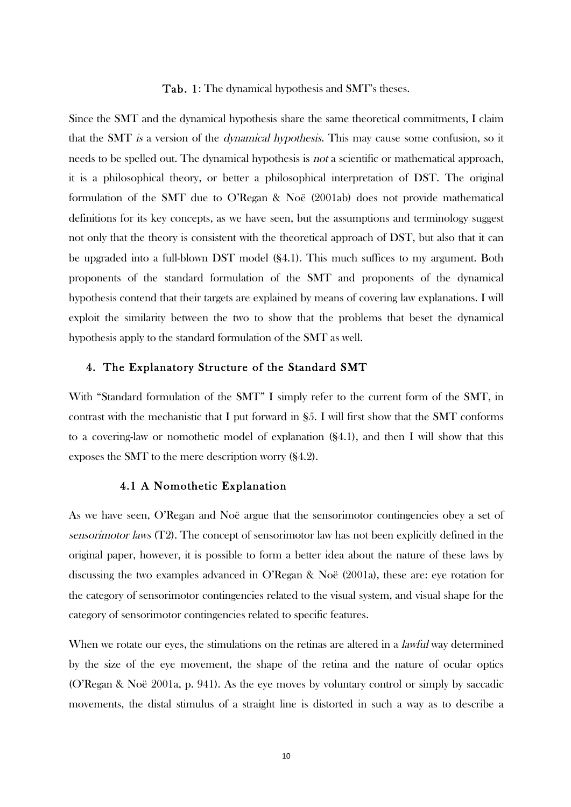#### Tab. 1: The dynamical hypothesis and SMT's theses.

Since the SMT and the dynamical hypothesis share the same theoretical commitments, I claim that the SMT is a version of the dynamical hypothesis. This may cause some confusion, so it needs to be spelled out. The dynamical hypothesis is not a scientific or mathematical approach, it is a philosophical theory, or better a philosophical interpretation of DST. The original formulation of the SMT due to O'Regan & Noë (2001ab) does not provide mathematical definitions for its key concepts, as we have seen, but the assumptions and terminology suggest not only that the theory is consistent with the theoretical approach of DST, but also that it can be upgraded into a full-blown DST model (§4.1). This much suffices to my argument. Both proponents of the standard formulation of the SMT and proponents of the dynamical hypothesis contend that their targets are explained by means of covering law explanations. I will exploit the similarity between the two to show that the problems that beset the dynamical hypothesis apply to the standard formulation of the SMT as well.

# 4. The Explanatory Structure of the Standard SMT

With "Standard formulation of the SMT" I simply refer to the current form of the SMT, in contrast with the mechanistic that I put forward in §5. I will first show that the SMT conforms to a covering-law or nomothetic model of explanation (§4.1), and then I will show that this exposes the SMT to the mere description worry (§4.2).

#### 4.1 A Nomothetic Explanation

As we have seen, O'Regan and Noë argue that the sensorimotor contingencies obey a set of sensorimotor laws (T2). The concept of sensorimotor law has not been explicitly defined in the original paper, however, it is possible to form a better idea about the nature of these laws by discussing the two examples advanced in O'Regan & Noë (2001a), these are: eye rotation for the category of sensorimotor contingencies related to the visual system, and visual shape for the category of sensorimotor contingencies related to specific features.

When we rotate our eyes, the stimulations on the retinas are altered in a *lawful* way determined by the size of the eye movement, the shape of the retina and the nature of ocular optics (O'Regan & Noë 2001a, p. 941). As the eye moves by voluntary control or simply by saccadic movements, the distal stimulus of a straight line is distorted in such a way as to describe a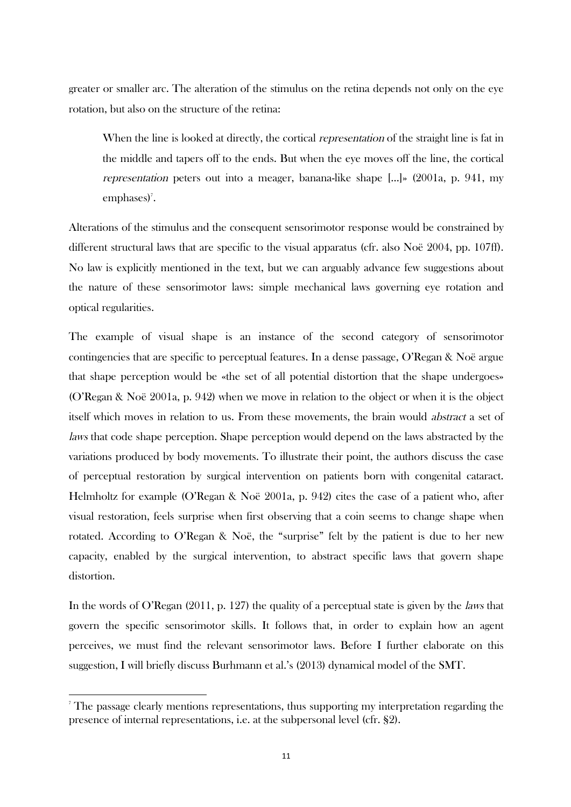greater or smaller arc. The alteration of the stimulus on the retina depends not only on the eye rotation, but also on the structure of the retina:

When the line is looked at directly, the cortical *representation* of the straight line is fat in the middle and tapers off to the ends. But when the eye moves off the line, the cortical representation peters out into a meager, banana-like shape […]» (2001a, p. 941, my emphases)<sup>7</sup>.

Alterations of the stimulus and the consequent sensorimotor response would be constrained by different structural laws that are specific to the visual apparatus (cfr. also Noë 2004, pp. 107ff). No law is explicitly mentioned in the text, but we can arguably advance few suggestions about the nature of these sensorimotor laws: simple mechanical laws governing eye rotation and optical regularities.

The example of visual shape is an instance of the second category of sensorimotor contingencies that are specific to perceptual features. In a dense passage, O'Regan & Noë argue that shape perception would be «the set of all potential distortion that the shape undergoes» (O'Regan & Noë 2001a, p. 942) when we move in relation to the object or when it is the object itself which moves in relation to us. From these movements, the brain would abstract a set of laws that code shape perception. Shape perception would depend on the laws abstracted by the variations produced by body movements. To illustrate their point, the authors discuss the case of perceptual restoration by surgical intervention on patients born with congenital cataract. Helmholtz for example (O'Regan & Noë 2001a, p. 942) cites the case of a patient who, after visual restoration, feels surprise when first observing that a coin seems to change shape when rotated. According to O'Regan & Noë, the "surprise" felt by the patient is due to her new capacity, enabled by the surgical intervention, to abstract specific laws that govern shape distortion.

In the words of O'Regan (2011, p. 127) the quality of a perceptual state is given by the *laws* that govern the specific sensorimotor skills. It follows that, in order to explain how an agent perceives, we must find the relevant sensorimotor laws. Before I further elaborate on this suggestion, I will briefly discuss Burhmann et al.'s (2013) dynamical model of the SMT.

<u> 1989 - Jan Samuel Barbara, margaret e</u>

<sup>7</sup> The passage clearly mentions representations, thus supporting my interpretation regarding the presence of internal representations, i.e. at the subpersonal level (cfr. §2).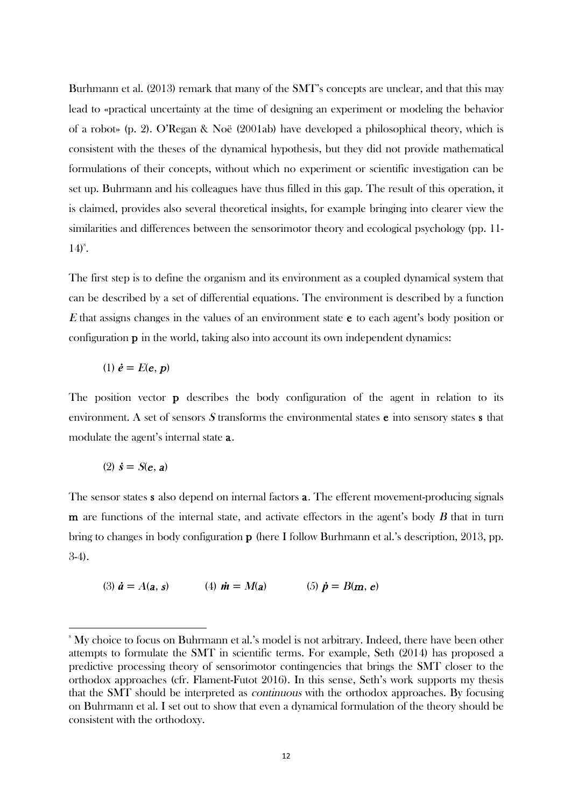Burhmann et al. (2013) remark that many of the SMT's concepts are unclear, and that this may lead to «practical uncertainty at the time of designing an experiment or modeling the behavior of a robot» (p. 2). O'Regan & Noë (2001ab) have developed a philosophical theory, which is consistent with the theses of the dynamical hypothesis, but they did not provide mathematical formulations of their concepts, without which no experiment or scientific investigation can be set up. Buhrmann and his colleagues have thus filled in this gap. The result of this operation, it is claimed, provides also several theoretical insights, for example bringing into clearer view the similarities and differences between the sensorimotor theory and ecological psychology (pp. 11-  $14)^{\circ}$ .

The first step is to define the organism and its environment as a coupled dynamical system that can be described by a set of differential equations. The environment is described by a function <sup>E</sup> that assigns changes in the values of an environment state e to each agent's body position or configuration p in the world, taking also into account its own independent dynamics:

$$
(1) \ \dot{e} = E(e, p)
$$

The position vector **p** describes the body configuration of the agent in relation to its environment. A set of sensors S transforms the environmental states  $e$  into sensory states s that modulate the agent's internal state a.

$$
(2) \mathbf{\dot{s}} = S(\mathbf{e}, \mathbf{a})
$$

<u> 1989 - Jan Samuel Barbara, margaret e</u>

The sensor states **s** also depend on internal factors **a**. The efferent movement-producing signals  **are functions of the internal state, and activate effectors in the agent's body**  $\bm{B}$  **that in turn** bring to changes in body configuration p (here I follow Burhmann et al.'s description, 2013, pp. 3-4).

(3) 
$$
\dot{a} = A(a, s)
$$
 (4)  $\dot{m} = M(a)$  (5)  $\dot{p} = B(m, e)$ 

 $^{\circ}$  My choice to focus on Buhrmann et al.'s model is not arbitrary. Indeed, there have been other attempts to formulate the SMT in scientific terms. For example, Seth (2014) has proposed a predictive processing theory of sensorimotor contingencies that brings the SMT closer to the orthodox approaches (cfr. Flament-Futot 2016). In this sense, Seth's work supports my thesis that the SMT should be interpreted as continuous with the orthodox approaches. By focusing on Buhrmann et al. I set out to show that even a dynamical formulation of the theory should be consistent with the orthodoxy.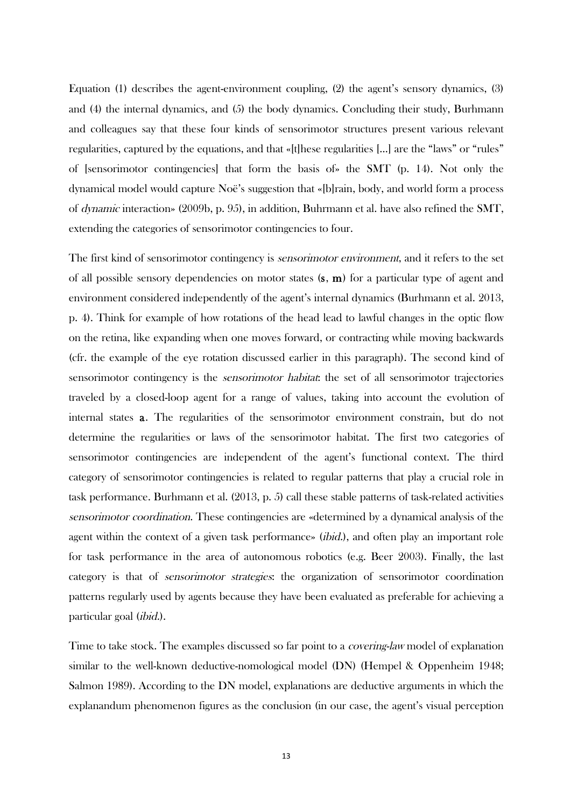Equation (1) describes the agent-environment coupling, (2) the agent's sensory dynamics, (3) and (4) the internal dynamics, and (5) the body dynamics. Concluding their study, Burhmann and colleagues say that these four kinds of sensorimotor structures present various relevant regularities, captured by the equations, and that «[t]hese regularities […] are the "laws" or "rules" of [sensorimotor contingencies] that form the basis of» the SMT (p. 14). Not only the dynamical model would capture Noë's suggestion that «[b]rain, body, and world form a process of dynamic interaction» (2009b, p. 95), in addition, Buhrmann et al. have also refined the SMT, extending the categories of sensorimotor contingencies to four.

The first kind of sensorimotor contingency is sensorimotor environment, and it refers to the set of all possible sensory dependencies on motor states (s, m) for a particular type of agent and environment considered independently of the agent's internal dynamics (Burhmann et al. 2013, p. 4). Think for example of how rotations of the head lead to lawful changes in the optic flow on the retina, like expanding when one moves forward, or contracting while moving backwards (cfr. the example of the eye rotation discussed earlier in this paragraph). The second kind of sensorimotor contingency is the *sensorimotor habitat*: the set of all sensorimotor trajectories traveled by a closed-loop agent for a range of values, taking into account the evolution of internal states a. The regularities of the sensorimotor environment constrain, but do not determine the regularities or laws of the sensorimotor habitat. The first two categories of sensorimotor contingencies are independent of the agent's functional context. The third category of sensorimotor contingencies is related to regular patterns that play a crucial role in task performance. Burhmann et al. (2013, p. 5) call these stable patterns of task-related activities sensorimotor coordination. These contingencies are «determined by a dynamical analysis of the agent within the context of a given task performance» (*ibid.*), and often play an important role for task performance in the area of autonomous robotics (e.g. Beer 2003). Finally, the last category is that of sensorimotor strategies: the organization of sensorimotor coordination patterns regularly used by agents because they have been evaluated as preferable for achieving a particular goal (ibid.).

Time to take stock. The examples discussed so far point to a *covering-law* model of explanation similar to the well-known deductive-nomological model (DN) (Hempel & Oppenheim 1948; Salmon 1989). According to the DN model, explanations are deductive arguments in which the explanandum phenomenon figures as the conclusion (in our case, the agent's visual perception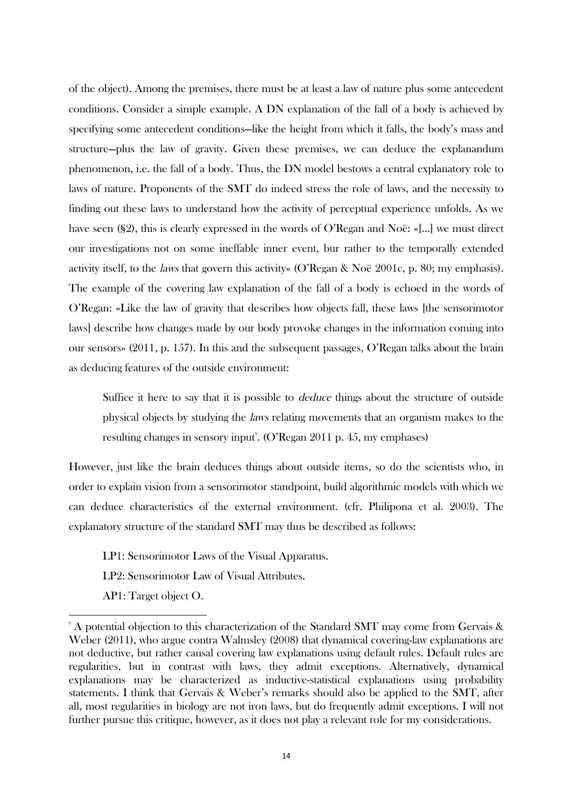of the object). Among the premises, there must be at least a law of nature plus some antecedent conditions. Consider a simple example. A DN explanation of the fall of a body is achieved by specifying some antecedent conditions—like the height from which it falls, the body's mass and structure—plus the law of gravity. Given these premises, we can deduce the explanandum phenomenon, i.e. the fall of a body. Thus, the DN model bestows a central explanatory role to laws of nature. Proponents of the SMT do indeed stress the role of laws, and the necessity to finding out these laws to understand how the activity of perceptual experience unfolds. As we have seen (§2), this is clearly expressed in the words of O'Regan and Noë: «[…] we must direct our investigations not on some ineffable inner event, bur rather to the temporally extended activity itself, to the laws that govern this activity» (O'Regan & Noë 2001c, p. 80; my emphasis). The example of the covering law explanation of the fall of a body is echoed in the words of O'Regan: «Like the law of gravity that describes how objects fall, these laws [the sensorimotor laws] describe how changes made by our body provoke changes in the information coming into our sensors» (2011, p. 157). In this and the subsequent passages, O'Regan talks about the brain as deducing features of the outside environment:

Suffice it here to say that it is possible to *deduce* things about the structure of outside physical objects by studying the laws relating movements that an organism makes to the resulting changes in sensory input $\degree$ . (O'Regan 2011 p. 45, my emphases)

However, just like the brain deduces things about outside items, so do the scientists who, in order to explain vision from a sensorimotor standpoint, build algorithmic models with which we can deduce characteristics of the external environment. (cfr. Philipona et al. 2003). The explanatory structure of the standard SMT may thus be described as follows:

- LP1: Sensorimotor Laws of the Visual Apparatus.
- LP2: Sensorimotor Law of Visual Attributes.
- AP1: Target object O.

<u> 1989 - Jan Samuel Barbara, margaret e</u>

 $^{\circ}$  A potential objection to this characterization of the Standard SMT may come from Gervais & Weber (2011), who argue contra Walmsley (2008) that dynamical covering-law explanations are not deductive, but rather causal covering law explanations using default rules. Default rules are regularities, but in contrast with laws, they admit exceptions. Alternatively, dynamical explanations may be characterized as inductive-statistical explanations using probability statements. I think that Gervais & Weber's remarks should also be applied to the SMT, after all, most regularities in biology are not iron laws, but do frequently admit exceptions. I will not further pursue this critique, however, as it does not play a relevant role for my considerations.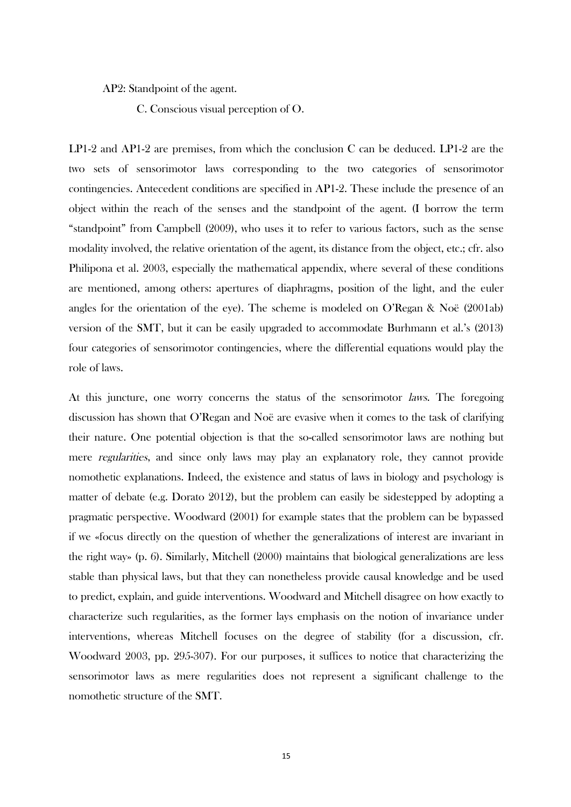AP2: Standpoint of the agent.

C. Conscious visual perception of O.

LP1-2 and AP1-2 are premises, from which the conclusion C can be deduced. LP1-2 are the two sets of sensorimotor laws corresponding to the two categories of sensorimotor contingencies. Antecedent conditions are specified in AP1-2. These include the presence of an object within the reach of the senses and the standpoint of the agent. (I borrow the term "standpoint" from Campbell (2009), who uses it to refer to various factors, such as the sense modality involved, the relative orientation of the agent, its distance from the object, etc.; cfr. also Philipona et al. 2003, especially the mathematical appendix, where several of these conditions are mentioned, among others: apertures of diaphragms, position of the light, and the euler angles for the orientation of the eye). The scheme is modeled on O'Regan & Noë (2001ab) version of the SMT, but it can be easily upgraded to accommodate Burhmann et al.'s (2013) four categories of sensorimotor contingencies, where the differential equations would play the role of laws.

At this juncture, one worry concerns the status of the sensorimotor laws. The foregoing discussion has shown that O'Regan and Noë are evasive when it comes to the task of clarifying their nature. One potential objection is that the so-called sensorimotor laws are nothing but mere regularities, and since only laws may play an explanatory role, they cannot provide nomothetic explanations. Indeed, the existence and status of laws in biology and psychology is matter of debate (e.g. Dorato 2012), but the problem can easily be sidestepped by adopting a pragmatic perspective. Woodward (2001) for example states that the problem can be bypassed if we «focus directly on the question of whether the generalizations of interest are invariant in the right way» (p. 6). Similarly, Mitchell (2000) maintains that biological generalizations are less stable than physical laws, but that they can nonetheless provide causal knowledge and be used to predict, explain, and guide interventions. Woodward and Mitchell disagree on how exactly to characterize such regularities, as the former lays emphasis on the notion of invariance under interventions, whereas Mitchell focuses on the degree of stability (for a discussion, cfr. Woodward 2003, pp. 295-307). For our purposes, it suffices to notice that characterizing the sensorimotor laws as mere regularities does not represent a significant challenge to the nomothetic structure of the SMT.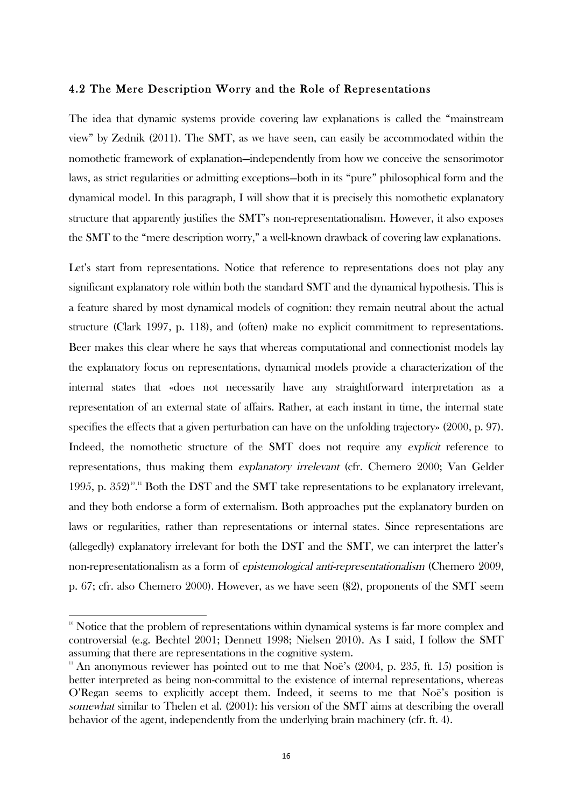## 4.2 The Mere Description Worry and the Role of Representations

The idea that dynamic systems provide covering law explanations is called the "mainstream view" by Zednik (2011). The SMT, as we have seen, can easily be accommodated within the nomothetic framework of explanation—independently from how we conceive the sensorimotor laws, as strict regularities or admitting exceptions—both in its "pure" philosophical form and the dynamical model. In this paragraph, I will show that it is precisely this nomothetic explanatory structure that apparently justifies the SMT's non-representationalism. However, it also exposes the SMT to the "mere description worry," a well-known drawback of covering law explanations.

Let's start from representations. Notice that reference to representations does not play any significant explanatory role within both the standard SMT and the dynamical hypothesis. This is a feature shared by most dynamical models of cognition: they remain neutral about the actual structure (Clark 1997, p. 118), and (often) make no explicit commitment to representations. Beer makes this clear where he says that whereas computational and connectionist models lay the explanatory focus on representations, dynamical models provide a characterization of the internal states that «does not necessarily have any straightforward interpretation as a representation of an external state of affairs. Rather, at each instant in time, the internal state specifies the effects that a given perturbation can have on the unfolding trajectory» (2000, p. 97). Indeed, the nomothetic structure of the SMT does not require any explicit reference to representations, thus making them explanatory irrelevant (cfr. Chemero 2000; Van Gelder 1995, p. 352)<sup> $0,11$ </sup> Both the DST and the SMT take representations to be explanatory irrelevant, and they both endorse a form of externalism. Both approaches put the explanatory burden on laws or regularities, rather than representations or internal states. Since representations are (allegedly) explanatory irrelevant for both the DST and the SMT, we can interpret the latter's non-representationalism as a form of epistemological anti-representationalism (Chemero 2009, p. 67; cfr. also Chemero 2000). However, as we have seen (§2), proponents of the SMT seem

<u> 1989 - Jan Samuel Barbara, margaret e</u>

 $10<sup>10</sup>$  Notice that the problem of representations within dynamical systems is far more complex and controversial (e.g. Bechtel 2001; Dennett 1998; Nielsen 2010). As I said, I follow the SMT assuming that there are representations in the cognitive system.

 $11$  An anonymous reviewer has pointed out to me that Noë's (2004, p. 235, ft. 15) position is better interpreted as being non-committal to the existence of internal representations, whereas O'Regan seems to explicitly accept them. Indeed, it seems to me that Noë's position is somewhat similar to Thelen et al. (2001): his version of the SMT aims at describing the overall behavior of the agent, independently from the underlying brain machinery (cfr. ft. 4).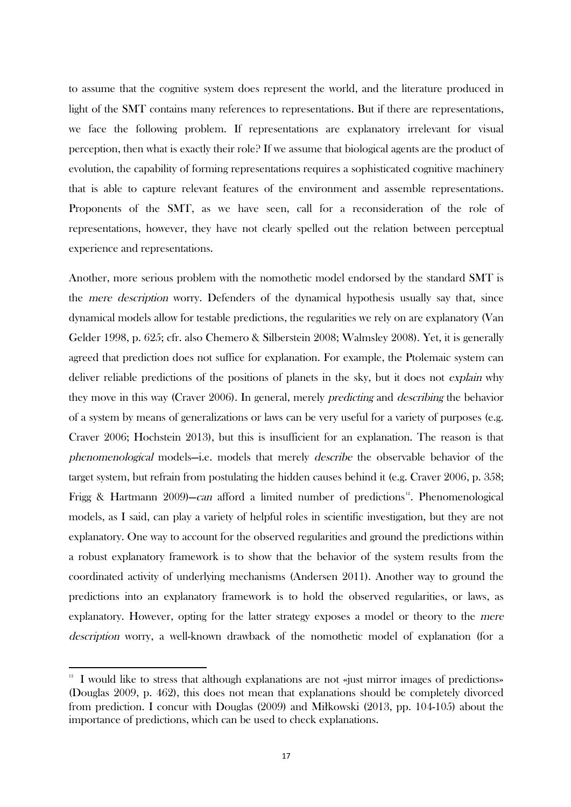to assume that the cognitive system does represent the world, and the literature produced in light of the SMT contains many references to representations. But if there are representations, we face the following problem. If representations are explanatory irrelevant for visual perception, then what is exactly their role? If we assume that biological agents are the product of evolution, the capability of forming representations requires a sophisticated cognitive machinery that is able to capture relevant features of the environment and assemble representations. Proponents of the SMT, as we have seen, call for a reconsideration of the role of representations, however, they have not clearly spelled out the relation between perceptual experience and representations.

Another, more serious problem with the nomothetic model endorsed by the standard SMT is the mere description worry. Defenders of the dynamical hypothesis usually say that, since dynamical models allow for testable predictions, the regularities we rely on are explanatory (Van Gelder 1998, p. 625; cfr. also Chemero & Silberstein 2008; Walmsley 2008). Yet, it is generally agreed that prediction does not suffice for explanation. For example, the Ptolemaic system can deliver reliable predictions of the positions of planets in the sky, but it does not explain why they move in this way (Craver 2006). In general, merely predicting and describing the behavior of a system by means of generalizations or laws can be very useful for a variety of purposes (e.g. Craver 2006; Hochstein 2013), but this is insufficient for an explanation. The reason is that phenomenological models—i.e. models that merely describe the observable behavior of the target system, but refrain from postulating the hidden causes behind it (e.g. Craver 2006, p. 358; Frigg & Hartmann 2009)—can afford a limited number of predictions<sup>12</sup>. Phenomenological models, as I said, can play a variety of helpful roles in scientific investigation, but they are not explanatory. One way to account for the observed regularities and ground the predictions within a robust explanatory framework is to show that the behavior of the system results from the coordinated activity of underlying mechanisms (Andersen 2011). Another way to ground the predictions into an explanatory framework is to hold the observed regularities, or laws, as explanatory. However, opting for the latter strategy exposes a model or theory to the mere description worry, a well-known drawback of the nomothetic model of explanation (for a

 

<sup>&</sup>lt;sup>12</sup> I would like to stress that although explanations are not «just mirror images of predictions» (Douglas 2009, p. 462), this does not mean that explanations should be completely divorced from prediction. I concur with Douglas (2009) and Miłkowski (2013, pp. 104-105) about the importance of predictions, which can be used to check explanations.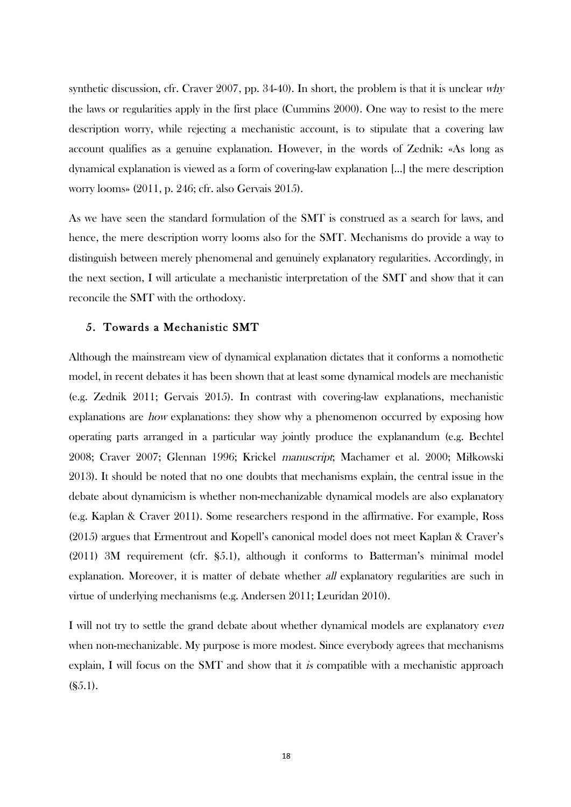synthetic discussion, cfr. Craver 2007, pp. 34-40). In short, the problem is that it is unclear why the laws or regularities apply in the first place (Cummins 2000). One way to resist to the mere description worry, while rejecting a mechanistic account, is to stipulate that a covering law account qualifies as a genuine explanation. However, in the words of Zednik: «As long as dynamical explanation is viewed as a form of covering-law explanation […] the mere description worry looms» (2011, p. 246; cfr. also Gervais 2015).

As we have seen the standard formulation of the SMT is construed as a search for laws, and hence, the mere description worry looms also for the SMT. Mechanisms do provide a way to distinguish between merely phenomenal and genuinely explanatory regularities. Accordingly, in the next section, I will articulate a mechanistic interpretation of the SMT and show that it can reconcile the SMT with the orthodoxy.

## 5. Towards a Mechanistic SMT

Although the mainstream view of dynamical explanation dictates that it conforms a nomothetic model, in recent debates it has been shown that at least some dynamical models are mechanistic (e.g. Zednik 2011; Gervais 2015). In contrast with covering-law explanations, mechanistic explanations are how explanations: they show why a phenomenon occurred by exposing how operating parts arranged in a particular way jointly produce the explanandum (e.g. Bechtel 2008; Craver 2007; Glennan 1996; Krickel manuscript; Machamer et al. 2000; Miłkowski 2013). It should be noted that no one doubts that mechanisms explain, the central issue in the debate about dynamicism is whether non-mechanizable dynamical models are also explanatory (e.g. Kaplan & Craver 2011). Some researchers respond in the affirmative. For example, Ross (2015) argues that Ermentrout and Kopell's canonical model does not meet Kaplan & Craver's (2011) 3M requirement (cfr. §5.1), although it conforms to Batterman's minimal model explanation. Moreover, it is matter of debate whether all explanatory regularities are such in virtue of underlying mechanisms (e.g. Andersen 2011; Leuridan 2010).

I will not try to settle the grand debate about whether dynamical models are explanatory even when non-mechanizable. My purpose is more modest. Since everybody agrees that mechanisms explain, I will focus on the SMT and show that it is compatible with a mechanistic approach  $(S5.1)$ .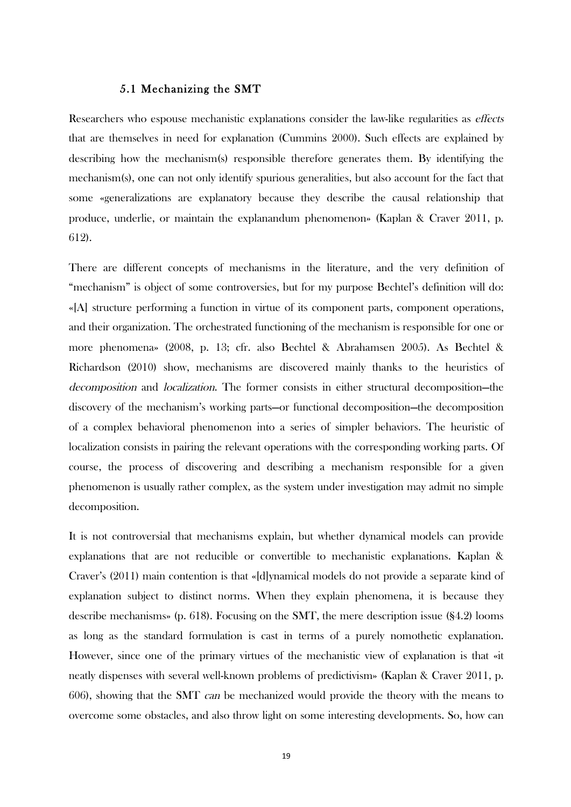#### 5.1 Mechanizing the SMT

Researchers who espouse mechanistic explanations consider the law-like regularities as *effects* that are themselves in need for explanation (Cummins 2000). Such effects are explained by describing how the mechanism(s) responsible therefore generates them. By identifying the mechanism(s), one can not only identify spurious generalities, but also account for the fact that some «generalizations are explanatory because they describe the causal relationship that produce, underlie, or maintain the explanandum phenomenon» (Kaplan & Craver 2011, p. 612).

There are different concepts of mechanisms in the literature, and the very definition of "mechanism" is object of some controversies, but for my purpose Bechtel's definition will do: «[A] structure performing a function in virtue of its component parts, component operations, and their organization. The orchestrated functioning of the mechanism is responsible for one or more phenomena» (2008, p. 13; cfr. also Bechtel & Abrahamsen 2005). As Bechtel & Richardson (2010) show, mechanisms are discovered mainly thanks to the heuristics of decomposition and localization. The former consists in either structural decomposition—the discovery of the mechanism's working parts—or functional decomposition—the decomposition of a complex behavioral phenomenon into a series of simpler behaviors. The heuristic of localization consists in pairing the relevant operations with the corresponding working parts. Of course, the process of discovering and describing a mechanism responsible for a given phenomenon is usually rather complex, as the system under investigation may admit no simple decomposition.

It is not controversial that mechanisms explain, but whether dynamical models can provide explanations that are not reducible or convertible to mechanistic explanations. Kaplan & Craver's (2011) main contention is that «[d]ynamical models do not provide a separate kind of explanation subject to distinct norms. When they explain phenomena, it is because they describe mechanisms» (p. 618). Focusing on the SMT, the mere description issue (§4.2) looms as long as the standard formulation is cast in terms of a purely nomothetic explanation. However, since one of the primary virtues of the mechanistic view of explanation is that «it neatly dispenses with several well-known problems of predictivism» (Kaplan & Craver 2011, p. 606), showing that the SMT can be mechanized would provide the theory with the means to overcome some obstacles, and also throw light on some interesting developments. So, how can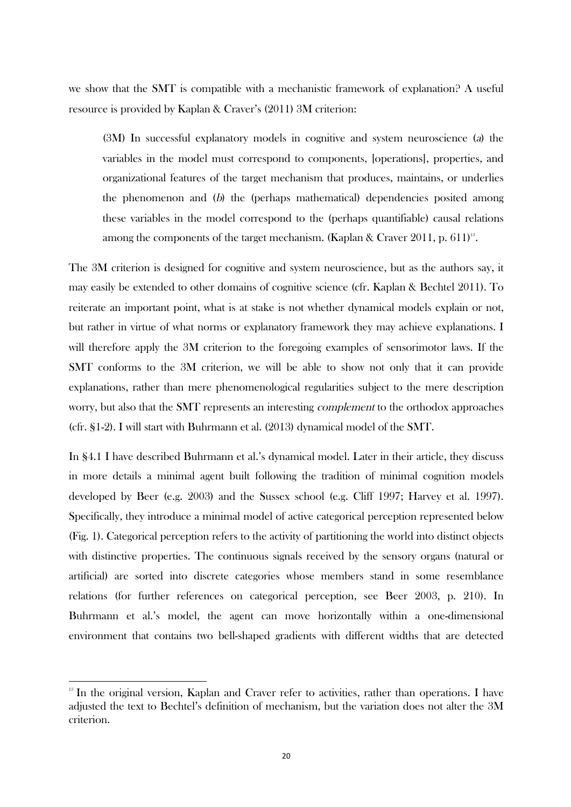we show that the SMT is compatible with a mechanistic framework of explanation? A useful resource is provided by Kaplan & Craver's (2011) 3M criterion:

(3M) In successful explanatory models in cognitive and system neuroscience (a) the variables in the model must correspond to components, [operations], properties, and organizational features of the target mechanism that produces, maintains, or underlies the phenomenon and  $(b)$  the (perhaps mathematical) dependencies posited among these variables in the model correspond to the (perhaps quantifiable) causal relations among the components of the target mechanism. (Kaplan & Craver 2011, p. 611) $^{\text{3}}$ .

The 3M criterion is designed for cognitive and system neuroscience, but as the authors say, it may easily be extended to other domains of cognitive science (cfr. Kaplan & Bechtel 2011). To reiterate an important point, what is at stake is not whether dynamical models explain or not, but rather in virtue of what norms or explanatory framework they may achieve explanations. I will therefore apply the 3M criterion to the foregoing examples of sensorimotor laws. If the SMT conforms to the 3M criterion, we will be able to show not only that it can provide explanations, rather than mere phenomenological regularities subject to the mere description worry, but also that the SMT represents an interesting *complement* to the orthodox approaches (cfr. §1-2). I will start with Buhrmann et al. (2013) dynamical model of the SMT.

In §4.1 I have described Buhrmann et al.'s dynamical model. Later in their article, they discuss in more details a minimal agent built following the tradition of minimal cognition models developed by Beer (e.g. 2003) and the Sussex school (e.g. Cliff 1997; Harvey et al. 1997). Specifically, they introduce a minimal model of active categorical perception represented below (Fig. 1). Categorical perception refers to the activity of partitioning the world into distinct objects with distinctive properties. The continuous signals received by the sensory organs (natural or artificial) are sorted into discrete categories whose members stand in some resemblance relations (for further references on categorical perception, see Beer 2003, p. 210). In Buhrmann et al.'s model, the agent can move horizontally within a one-dimensional environment that contains two bell-shaped gradients with different widths that are detected

<u> 1989 - Jan Samuel Barbara, margaret e</u>

<sup>&</sup>lt;sup>13</sup> In the original version, Kaplan and Craver refer to activities, rather than operations. I have adjusted the text to Bechtel's definition of mechanism, but the variation does not alter the 3M criterion.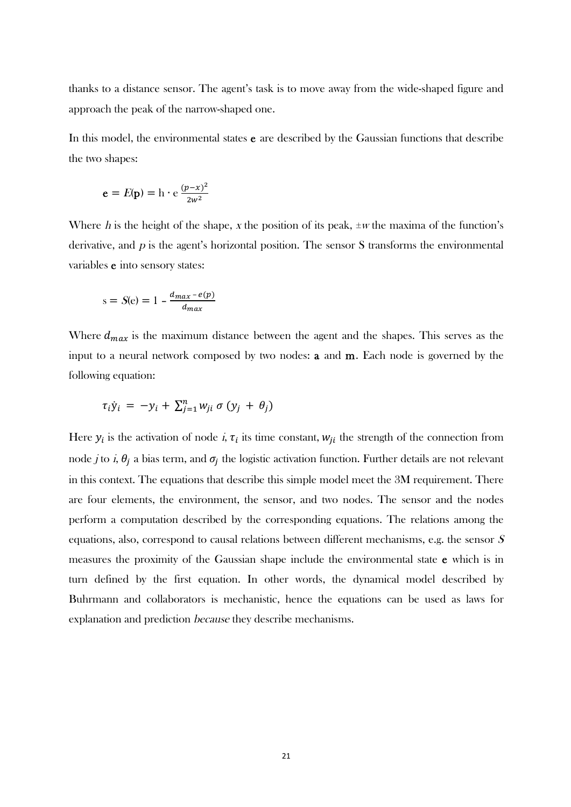thanks to a distance sensor. The agent's task is to move away from the wide-shaped figure and approach the peak of the narrow-shaped one.

In this model, the environmental states e are described by the Gaussian functions that describe the two shapes:

$$
\mathbf{e} = E(\mathbf{p}) = \mathbf{h} \cdot \mathbf{e} \frac{(p - x)^2}{2w^2}
$$

Where h is the height of the shape, x the position of its peak,  $\pm w$  the maxima of the function's derivative, and  $p$  is the agent's horizontal position. The sensor  $S$  transforms the environmental variables e into sensory states:

$$
s = S(e) = 1 - \frac{d_{max} - e(p)}{d_{max}}
$$

Where  $d_{max}$  is the maximum distance between the agent and the shapes. This serves as the input to a neural network composed by two nodes: a and m. Each node is governed by the following equation:

$$
\tau_i \dot{y}_i = -y_i + \sum_{j=1}^n w_{ji} \sigma (y_j + \theta_j)
$$

Here  $y_i$  is the activation of node i,  $\tau_i$  its time constant,  $w_{ji}$  the strength of the connection from node j to i,  $\theta_i$  a bias term, and  $\sigma_i$  the logistic activation function. Further details are not relevant in this context. The equations that describe this simple model meet the 3M requirement. There are four elements, the environment, the sensor, and two nodes. The sensor and the nodes perform a computation described by the corresponding equations. The relations among the equations, also, correspond to causal relations between different mechanisms, e.g. the sensor  $S$ measures the proximity of the Gaussian shape include the environmental state e which is in turn defined by the first equation. In other words, the dynamical model described by Buhrmann and collaborators is mechanistic, hence the equations can be used as laws for explanation and prediction *because* they describe mechanisms.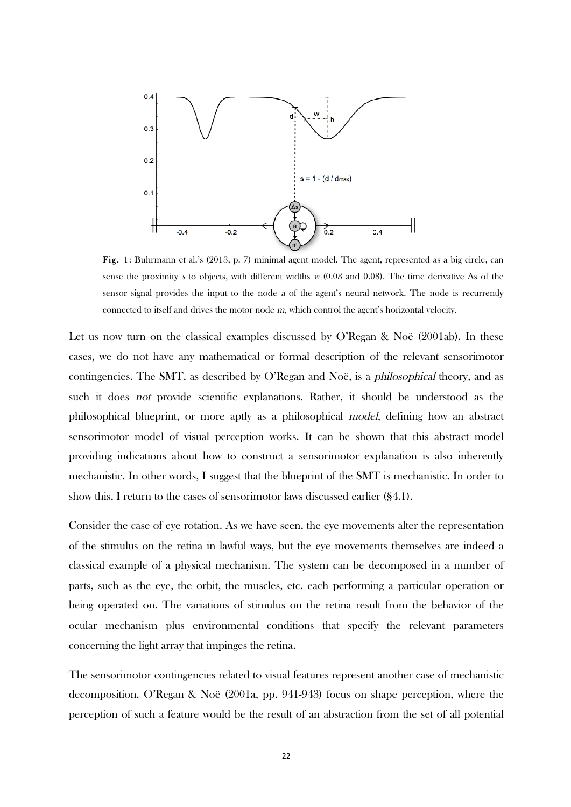

Fig. 1: Buhrmann et al.'s (2013, p. 7) minimal agent model. The agent, represented as a big circle, can sense the proximity s to objects, with different widths w (0.03 and 0.08). The time derivative  $\Delta s$  of the sensor signal provides the input to the node <sup>a</sup> of the agent's neural network. The node is recurrently connected to itself and drives the motor node m, which control the agent's horizontal velocity.

Let us now turn on the classical examples discussed by O'Regan & Noë (2001ab). In these cases, we do not have any mathematical or formal description of the relevant sensorimotor contingencies. The SMT, as described by O'Regan and Noë, is a philosophical theory, and as such it does not provide scientific explanations. Rather, it should be understood as the philosophical blueprint, or more aptly as a philosophical model, defining how an abstract sensorimotor model of visual perception works. It can be shown that this abstract model providing indications about how to construct a sensorimotor explanation is also inherently mechanistic. In other words, I suggest that the blueprint of the SMT is mechanistic. In order to show this, I return to the cases of sensorimotor laws discussed earlier (§4.1).

Consider the case of eye rotation. As we have seen, the eye movements alter the representation of the stimulus on the retina in lawful ways, but the eye movements themselves are indeed a classical example of a physical mechanism. The system can be decomposed in a number of parts, such as the eye, the orbit, the muscles, etc. each performing a particular operation or being operated on. The variations of stimulus on the retina result from the behavior of the ocular mechanism plus environmental conditions that specify the relevant parameters concerning the light array that impinges the retina.

The sensorimotor contingencies related to visual features represent another case of mechanistic decomposition. O'Regan & Noë (2001a, pp. 941-943) focus on shape perception, where the perception of such a feature would be the result of an abstraction from the set of all potential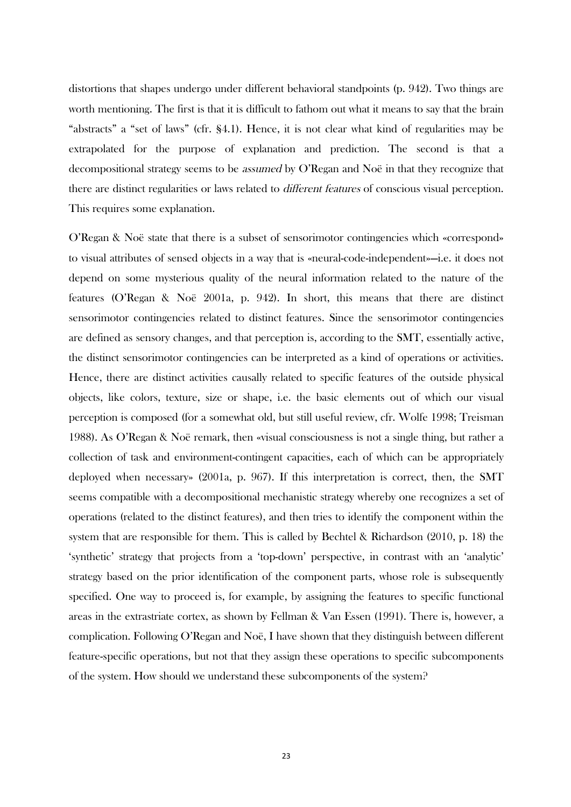distortions that shapes undergo under different behavioral standpoints (p. 942). Two things are worth mentioning. The first is that it is difficult to fathom out what it means to say that the brain "abstracts" a "set of laws" (cfr. §4.1). Hence, it is not clear what kind of regularities may be extrapolated for the purpose of explanation and prediction. The second is that a decompositional strategy seems to be assumed by O'Regan and Noë in that they recognize that there are distinct regularities or laws related to different features of conscious visual perception. This requires some explanation.

O'Regan & Noë state that there is a subset of sensorimotor contingencies which «correspond» to visual attributes of sensed objects in a way that is «neural-code-independent»—i.e. it does not depend on some mysterious quality of the neural information related to the nature of the features (O'Regan & Noë 2001a, p. 942). In short, this means that there are distinct sensorimotor contingencies related to distinct features. Since the sensorimotor contingencies are defined as sensory changes, and that perception is, according to the SMT, essentially active, the distinct sensorimotor contingencies can be interpreted as a kind of operations or activities. Hence, there are distinct activities causally related to specific features of the outside physical objects, like colors, texture, size or shape, i.e. the basic elements out of which our visual perception is composed (for a somewhat old, but still useful review, cfr. Wolfe 1998; Treisman 1988). As O'Regan & Noë remark, then «visual consciousness is not a single thing, but rather a collection of task and environment-contingent capacities, each of which can be appropriately deployed when necessary» (2001a, p. 967). If this interpretation is correct, then, the SMT seems compatible with a decompositional mechanistic strategy whereby one recognizes a set of operations (related to the distinct features), and then tries to identify the component within the system that are responsible for them. This is called by Bechtel & Richardson (2010, p. 18) the 'synthetic' strategy that projects from a 'top-down' perspective, in contrast with an 'analytic' strategy based on the prior identification of the component parts, whose role is subsequently specified. One way to proceed is, for example, by assigning the features to specific functional areas in the extrastriate cortex, as shown by Fellman & Van Essen (1991). There is, however, a complication. Following O'Regan and Noë, I have shown that they distinguish between different feature-specific operations, but not that they assign these operations to specific subcomponents of the system. How should we understand these subcomponents of the system?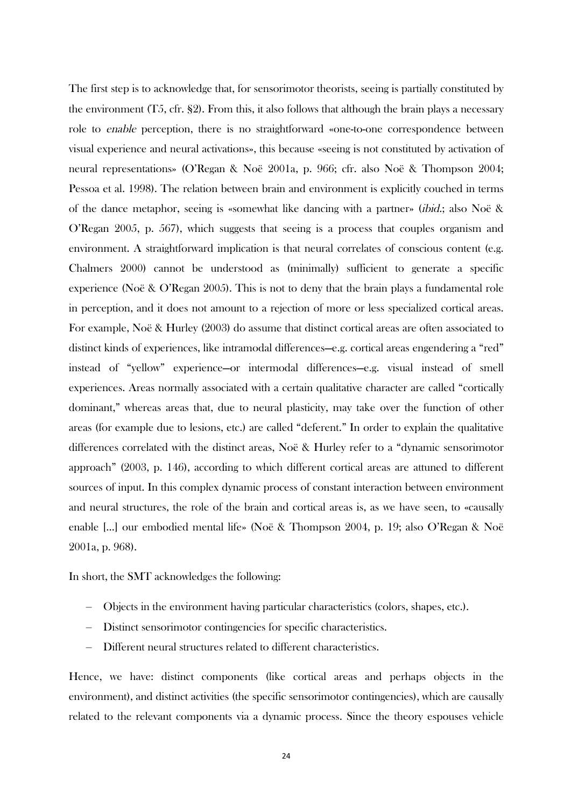The first step is to acknowledge that, for sensorimotor theorists, seeing is partially constituted by the environment  $(T5, \text{cfr.} \$ {S2}). From this, it also follows that although the brain plays a necessary role to enable perception, there is no straightforward «one-to-one correspondence between visual experience and neural activations», this because «seeing is not constituted by activation of neural representations» (O'Regan & Noë 2001a, p. 966; cfr. also Noë & Thompson 2004; Pessoa et al. 1998). The relation between brain and environment is explicitly couched in terms of the dance metaphor, seeing is «somewhat like dancing with a partner» (ibid.; also Noë & O'Regan 2005, p. 567), which suggests that seeing is a process that couples organism and environment. A straightforward implication is that neural correlates of conscious content (e.g. Chalmers 2000) cannot be understood as (minimally) sufficient to generate a specific experience (Noë & O'Regan 2005). This is not to deny that the brain plays a fundamental role in perception, and it does not amount to a rejection of more or less specialized cortical areas. For example, Noë & Hurley (2003) do assume that distinct cortical areas are often associated to distinct kinds of experiences, like intramodal differences—e.g. cortical areas engendering a "red" instead of "yellow" experience—or intermodal differences—e.g. visual instead of smell experiences. Areas normally associated with a certain qualitative character are called "cortically dominant," whereas areas that, due to neural plasticity, may take over the function of other areas (for example due to lesions, etc.) are called "deferent." In order to explain the qualitative differences correlated with the distinct areas, Noë & Hurley refer to a "dynamic sensorimotor approach" (2003, p. 146), according to which different cortical areas are attuned to different sources of input. In this complex dynamic process of constant interaction between environment and neural structures, the role of the brain and cortical areas is, as we have seen, to «causally enable […] our embodied mental life» (Noë & Thompson 2004, p. 19; also O'Regan & Noë 2001a, p. 968).

In short, the SMT acknowledges the following:

- Objects in the environment having particular characteristics (colors, shapes, etc.).
- Distinct sensorimotor contingencies for specific characteristics.
- Different neural structures related to different characteristics.

Hence, we have: distinct components (like cortical areas and perhaps objects in the environment), and distinct activities (the specific sensorimotor contingencies), which are causally related to the relevant components via a dynamic process. Since the theory espouses vehicle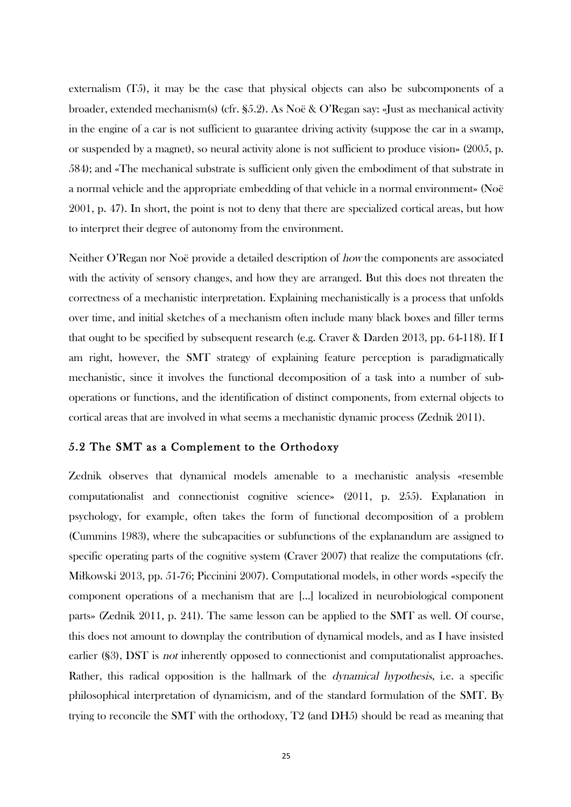externalism (T5), it may be the case that physical objects can also be subcomponents of a broader, extended mechanism(s) (cfr. §5.2). As Noë & O'Regan say: «Just as mechanical activity in the engine of a car is not sufficient to guarantee driving activity (suppose the car in a swamp, or suspended by a magnet), so neural activity alone is not sufficient to produce vision» (2005, p. 584); and «The mechanical substrate is sufficient only given the embodiment of that substrate in a normal vehicle and the appropriate embedding of that vehicle in a normal environment» (Noë 2001, p. 47). In short, the point is not to deny that there are specialized cortical areas, but how to interpret their degree of autonomy from the environment.

Neither O'Regan nor Noë provide a detailed description of how the components are associated with the activity of sensory changes, and how they are arranged. But this does not threaten the correctness of a mechanistic interpretation. Explaining mechanistically is a process that unfolds over time, and initial sketches of a mechanism often include many black boxes and filler terms that ought to be specified by subsequent research (e.g. Craver & Darden 2013, pp. 64-118). If I am right, however, the SMT strategy of explaining feature perception is paradigmatically mechanistic, since it involves the functional decomposition of a task into a number of suboperations or functions, and the identification of distinct components, from external objects to cortical areas that are involved in what seems a mechanistic dynamic process (Zednik 2011).

## 5.2 The SMT as a Complement to the Orthodoxy

Zednik observes that dynamical models amenable to a mechanistic analysis «resemble computationalist and connectionist cognitive science» (2011, p. 255). Explanation in psychology, for example, often takes the form of functional decomposition of a problem (Cummins 1983), where the subcapacities or subfunctions of the explanandum are assigned to specific operating parts of the cognitive system (Craver 2007) that realize the computations (cfr. Miłkowski 2013, pp. 51-76; Piccinini 2007). Computational models, in other words «specify the component operations of a mechanism that are […] localized in neurobiological component parts» (Zednik 2011, p. 241). The same lesson can be applied to the SMT as well. Of course, this does not amount to downplay the contribution of dynamical models, and as I have insisted earlier (§3), DST is *not* inherently opposed to connectionist and computationalist approaches. Rather, this radical opposition is the hallmark of the *dynamical hypothesis*, i.e. a specific philosophical interpretation of dynamicism, and of the standard formulation of the SMT. By trying to reconcile the SMT with the orthodoxy, T2 (and DH5) should be read as meaning that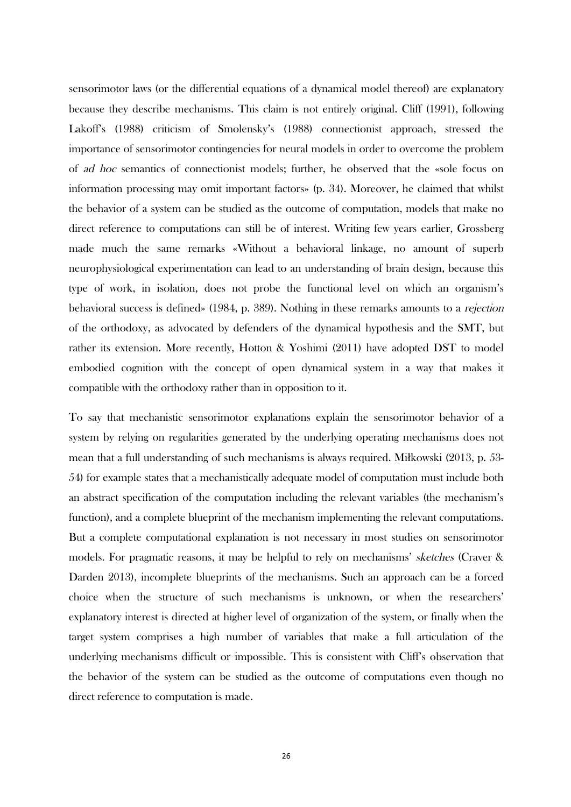sensorimotor laws (or the differential equations of a dynamical model thereof) are explanatory because they describe mechanisms. This claim is not entirely original. Cliff (1991), following Lakoff's (1988) criticism of Smolensky's (1988) connectionist approach, stressed the importance of sensorimotor contingencies for neural models in order to overcome the problem of ad hoc semantics of connectionist models; further, he observed that the «sole focus on information processing may omit important factors» (p. 34). Moreover, he claimed that whilst the behavior of a system can be studied as the outcome of computation, models that make no direct reference to computations can still be of interest. Writing few years earlier, Grossberg made much the same remarks «Without a behavioral linkage, no amount of superb neurophysiological experimentation can lead to an understanding of brain design, because this type of work, in isolation, does not probe the functional level on which an organism's behavioral success is defined» (1984, p. 389). Nothing in these remarks amounts to a rejection of the orthodoxy, as advocated by defenders of the dynamical hypothesis and the SMT, but rather its extension. More recently, Hotton & Yoshimi (2011) have adopted DST to model embodied cognition with the concept of open dynamical system in a way that makes it compatible with the orthodoxy rather than in opposition to it.

To say that mechanistic sensorimotor explanations explain the sensorimotor behavior of a system by relying on regularities generated by the underlying operating mechanisms does not mean that a full understanding of such mechanisms is always required. Miłkowski (2013, p. 53- 54) for example states that a mechanistically adequate model of computation must include both an abstract specification of the computation including the relevant variables (the mechanism's function), and a complete blueprint of the mechanism implementing the relevant computations. But a complete computational explanation is not necessary in most studies on sensorimotor models. For pragmatic reasons, it may be helpful to rely on mechanisms' sketches (Craver & Darden 2013), incomplete blueprints of the mechanisms. Such an approach can be a forced choice when the structure of such mechanisms is unknown, or when the researchers' explanatory interest is directed at higher level of organization of the system, or finally when the target system comprises a high number of variables that make a full articulation of the underlying mechanisms difficult or impossible. This is consistent with Cliff's observation that the behavior of the system can be studied as the outcome of computations even though no direct reference to computation is made.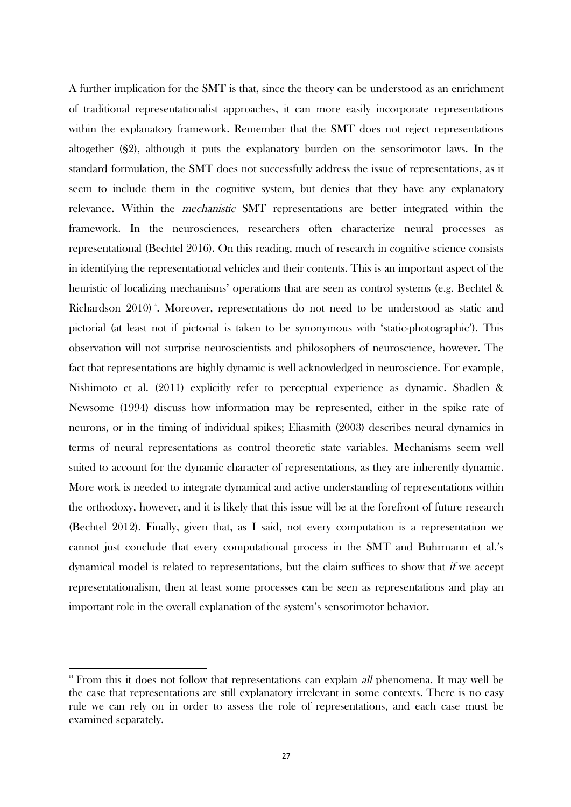A further implication for the SMT is that, since the theory can be understood as an enrichment of traditional representationalist approaches, it can more easily incorporate representations within the explanatory framework. Remember that the SMT does not reject representations altogether (§2), although it puts the explanatory burden on the sensorimotor laws. In the standard formulation, the SMT does not successfully address the issue of representations, as it seem to include them in the cognitive system, but denies that they have any explanatory relevance. Within the mechanistic SMT representations are better integrated within the framework. In the neurosciences, researchers often characterize neural processes as representational (Bechtel 2016). On this reading, much of research in cognitive science consists in identifying the representational vehicles and their contents. This is an important aspect of the heuristic of localizing mechanisms' operations that are seen as control systems (e.g. Bechtel & Richardson  $2010$ <sup>14</sup>. Moreover, representations do not need to be understood as static and pictorial (at least not if pictorial is taken to be synonymous with 'static-photographic'). This observation will not surprise neuroscientists and philosophers of neuroscience, however. The fact that representations are highly dynamic is well acknowledged in neuroscience. For example, Nishimoto et al. (2011) explicitly refer to perceptual experience as dynamic. Shadlen & Newsome (1994) discuss how information may be represented, either in the spike rate of neurons, or in the timing of individual spikes; Eliasmith (2003) describes neural dynamics in terms of neural representations as control theoretic state variables. Mechanisms seem well suited to account for the dynamic character of representations, as they are inherently dynamic. More work is needed to integrate dynamical and active understanding of representations within the orthodoxy, however, and it is likely that this issue will be at the forefront of future research (Bechtel 2012). Finally, given that, as I said, not every computation is a representation we cannot just conclude that every computational process in the SMT and Buhrmann et al.'s dynamical model is related to representations, but the claim suffices to show that if we accept representationalism, then at least some processes can be seen as representations and play an important role in the overall explanation of the system's sensorimotor behavior.

<u> 1989 - Jan Samuel Barbara, margaret e</u>

 $14$  From this it does not follow that representations can explain *all* phenomena. It may well be the case that representations are still explanatory irrelevant in some contexts. There is no easy rule we can rely on in order to assess the role of representations, and each case must be examined separately.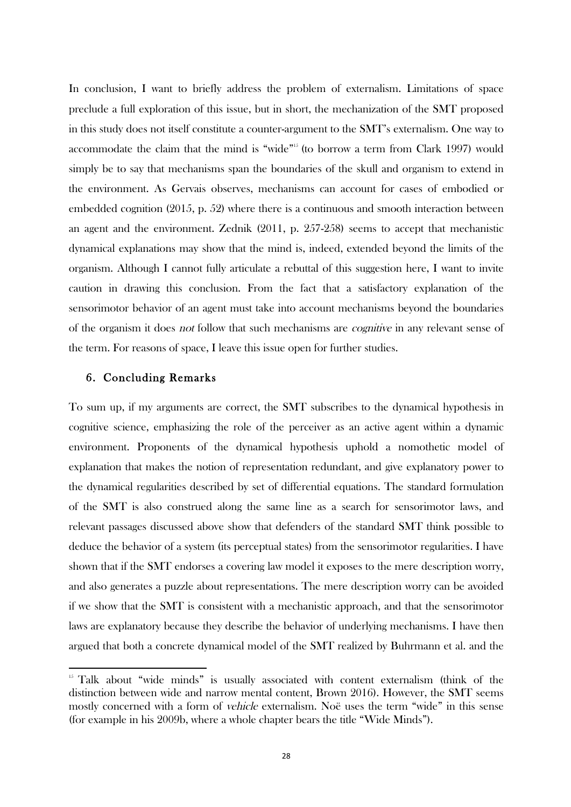In conclusion, I want to briefly address the problem of externalism. Limitations of space preclude a full exploration of this issue, but in short, the mechanization of the SMT proposed in this study does not itself constitute a counter-argument to the SMT's externalism. One way to accommodate the claim that the mind is "wide"<sup>15</sup> (to borrow a term from Clark 1997) would simply be to say that mechanisms span the boundaries of the skull and organism to extend in the environment. As Gervais observes, mechanisms can account for cases of embodied or embedded cognition (2015, p. 52) where there is a continuous and smooth interaction between an agent and the environment. Zednik (2011, p. 257-258) seems to accept that mechanistic dynamical explanations may show that the mind is, indeed, extended beyond the limits of the organism. Although I cannot fully articulate a rebuttal of this suggestion here, I want to invite caution in drawing this conclusion. From the fact that a satisfactory explanation of the sensorimotor behavior of an agent must take into account mechanisms beyond the boundaries of the organism it does not follow that such mechanisms are cognitive in any relevant sense of the term. For reasons of space, I leave this issue open for further studies.

#### 6. Concluding Remarks

<u> 1989 - Jan Samuel Barbara, margaret e</u>

To sum up, if my arguments are correct, the SMT subscribes to the dynamical hypothesis in cognitive science, emphasizing the role of the perceiver as an active agent within a dynamic environment. Proponents of the dynamical hypothesis uphold a nomothetic model of explanation that makes the notion of representation redundant, and give explanatory power to the dynamical regularities described by set of differential equations. The standard formulation of the SMT is also construed along the same line as a search for sensorimotor laws, and relevant passages discussed above show that defenders of the standard SMT think possible to deduce the behavior of a system (its perceptual states) from the sensorimotor regularities. I have shown that if the SMT endorses a covering law model it exposes to the mere description worry, and also generates a puzzle about representations. The mere description worry can be avoided if we show that the SMT is consistent with a mechanistic approach, and that the sensorimotor laws are explanatory because they describe the behavior of underlying mechanisms. I have then argued that both a concrete dynamical model of the SMT realized by Buhrmann et al. and the

<sup>&</sup>lt;sup>15</sup> Talk about "wide minds" is usually associated with content externalism (think of the distinction between wide and narrow mental content, Brown 2016). However, the SMT seems mostly concerned with a form of vehicle externalism. Noë uses the term "wide" in this sense (for example in his 2009b, where a whole chapter bears the title "Wide Minds").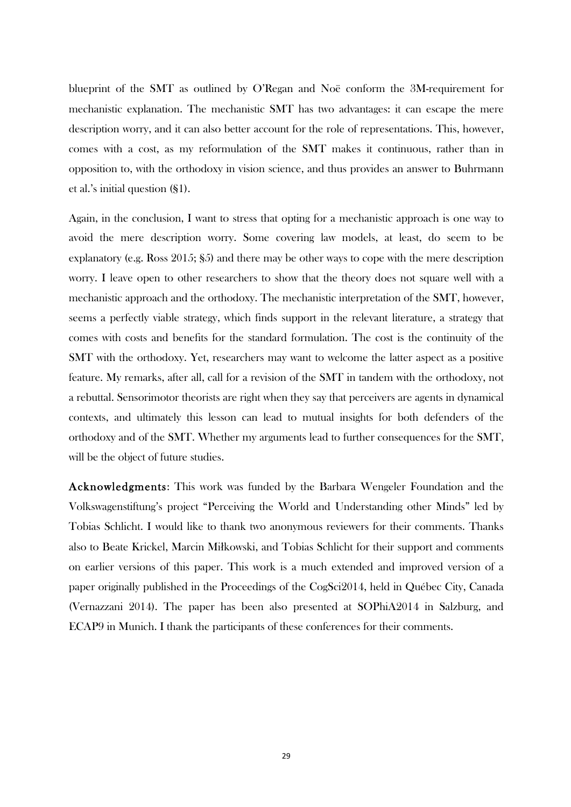blueprint of the SMT as outlined by O'Regan and Noë conform the 3M-requirement for mechanistic explanation. The mechanistic SMT has two advantages: it can escape the mere description worry, and it can also better account for the role of representations. This, however, comes with a cost, as my reformulation of the SMT makes it continuous, rather than in opposition to, with the orthodoxy in vision science, and thus provides an answer to Buhrmann et al.'s initial question (§1).

Again, in the conclusion, I want to stress that opting for a mechanistic approach is one way to avoid the mere description worry. Some covering law models, at least, do seem to be explanatory (e.g. Ross 2015; §5) and there may be other ways to cope with the mere description worry. I leave open to other researchers to show that the theory does not square well with a mechanistic approach and the orthodoxy. The mechanistic interpretation of the SMT, however, seems a perfectly viable strategy, which finds support in the relevant literature, a strategy that comes with costs and benefits for the standard formulation. The cost is the continuity of the SMT with the orthodoxy. Yet, researchers may want to welcome the latter aspect as a positive feature. My remarks, after all, call for a revision of the SMT in tandem with the orthodoxy, not a rebuttal. Sensorimotor theorists are right when they say that perceivers are agents in dynamical contexts, and ultimately this lesson can lead to mutual insights for both defenders of the orthodoxy and of the SMT. Whether my arguments lead to further consequences for the SMT, will be the object of future studies.

Acknowledgments: This work was funded by the Barbara Wengeler Foundation and the Volkswagenstiftung's project "Perceiving the World and Understanding other Minds" led by Tobias Schlicht. I would like to thank two anonymous reviewers for their comments. Thanks also to Beate Krickel, Marcin Miłkowski, and Tobias Schlicht for their support and comments on earlier versions of this paper. This work is a much extended and improved version of a paper originally published in the Proceedings of the CogSci2014, held in Québec City, Canada (Vernazzani 2014). The paper has been also presented at SOPhiA2014 in Salzburg, and ECAP9 in Munich. I thank the participants of these conferences for their comments.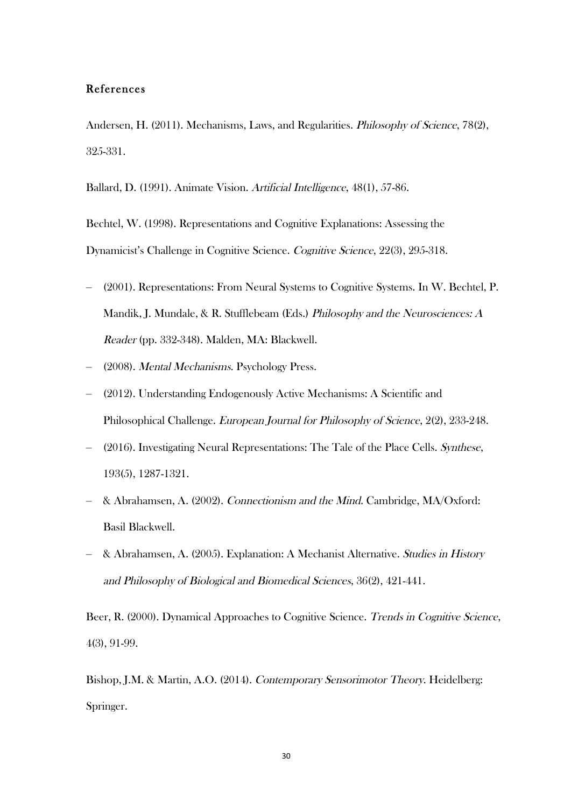# References

Andersen, H. (2011). Mechanisms, Laws, and Regularities. Philosophy of Science, 78(2), 325-331.

Ballard, D. (1991). Animate Vision. Artificial Intelligence, 48(1), 57-86.

Bechtel, W. (1998). Representations and Cognitive Explanations: Assessing the Dynamicist's Challenge in Cognitive Science. Cognitive Science, 22(3), 295-318.

- (2001). Representations: From Neural Systems to Cognitive Systems. In W. Bechtel, P. Mandik, J. Mundale, & R. Stufflebeam (Eds.) Philosophy and the Neurosciences: A Reader (pp. 332-348). Malden, MA: Blackwell.
- (2008). Mental Mechanisms. Psychology Press.
- (2012). Understanding Endogenously Active Mechanisms: A Scientific and Philosophical Challenge. European Journal for Philosophy of Science, 2(2), 233-248.
- (2016). Investigating Neural Representations: The Tale of the Place Cells. Synthese, 193(5), 1287-1321.
- $-$  & Abrahamsen, A. (2002). Connectionism and the Mind. Cambridge, MA/Oxford: Basil Blackwell.
- & Abrahamsen, A. (2005). Explanation: A Mechanist Alternative. Studies in History and Philosophy of Biological and Biomedical Sciences, 36(2), 421-441.

Beer, R. (2000). Dynamical Approaches to Cognitive Science. Trends in Cognitive Science, 4(3), 91-99.

Bishop, J.M. & Martin, A.O. (2014). Contemporary Sensorimotor Theory. Heidelberg: Springer.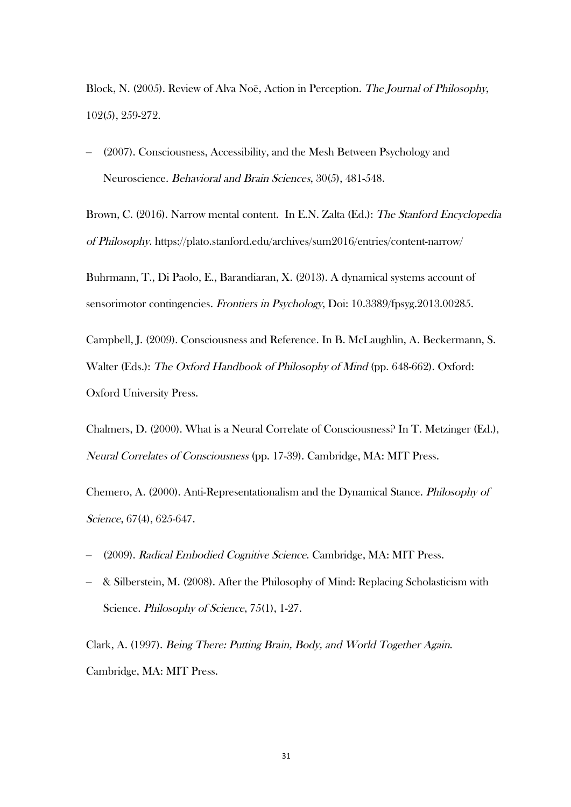Block, N. (2005). Review of Alva Noë, Action in Perception. The Journal of Philosophy, 102(5), 259-272.

– (2007). Consciousness, Accessibility, and the Mesh Between Psychology and Neuroscience. Behavioral and Brain Sciences, 30(5), 481-548.

Brown, C. (2016). Narrow mental content. In E.N. Zalta (Ed.): The Stanford Encyclopedia of Philosophy. https://plato.stanford.edu/archives/sum2016/entries/content-narrow/

Buhrmann, T., Di Paolo, E., Barandiaran, X. (2013). A dynamical systems account of sensorimotor contingencies. Frontiers in Psychology, Doi: 10.3389/fpsyg.2013.00285.

Campbell, J. (2009). Consciousness and Reference. In B. McLaughlin, A. Beckermann, S. Walter (Eds.): The Oxford Handbook of Philosophy of Mind (pp. 648-662). Oxford: Oxford University Press.

Chalmers, D. (2000). What is a Neural Correlate of Consciousness? In T. Metzinger (Ed.), Neural Correlates of Consciousness (pp. 17-39). Cambridge, MA: MIT Press.

Chemero, A. (2000). Anti-Representationalism and the Dynamical Stance. Philosophy of Science, 67(4), 625-647.

- (2009). Radical Embodied Cognitive Science. Cambridge, MA: MIT Press.
- & Silberstein, M. (2008). After the Philosophy of Mind: Replacing Scholasticism with Science. Philosophy of Science, 75(1), 1-27.

Clark, A. (1997). Being There: Putting Brain, Body, and World Together Again. Cambridge, MA: MIT Press.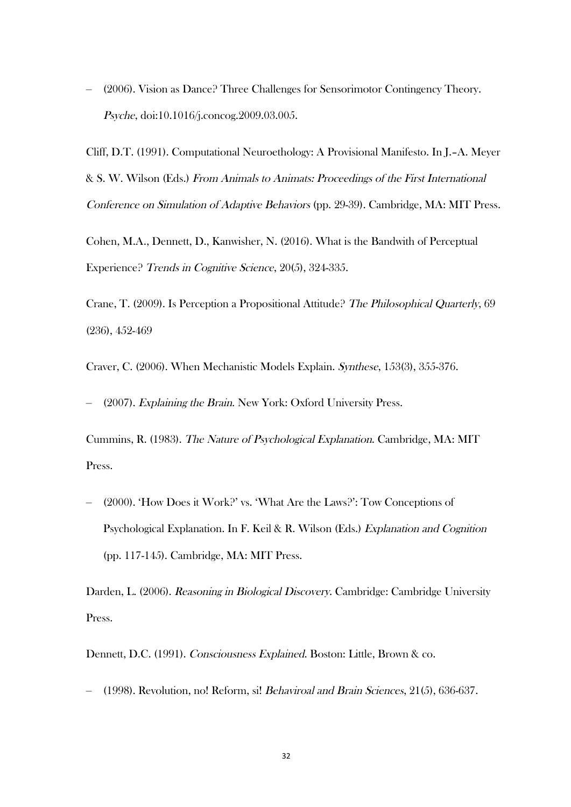– (2006). Vision as Dance? Three Challenges for Sensorimotor Contingency Theory. Psyche, doi:10.1016/j.concog.2009.03.005.

Cliff, D.T. (1991). Computational Neuroethology: A Provisional Manifesto. In J.–A. Meyer & S. W. Wilson (Eds.) From Animals to Animats: Proceedings of the First International Conference on Simulation of Adaptive Behaviors (pp. 29-39). Cambridge, MA: MIT Press.

Cohen, M.A., Dennett, D., Kanwisher, N. (2016). What is the Bandwith of Perceptual Experience? Trends in Cognitive Science, 20(5), 324-335.

Crane, T. (2009). Is Perception a Propositional Attitude? The Philosophical Quarterly, 69 (236), 452-469

Craver, C. (2006). When Mechanistic Models Explain. Synthese, 153(3), 355-376.

– (2007). Explaining the Brain. New York: Oxford University Press.

Cummins, R. (1983). The Nature of Psychological Explanation. Cambridge, MA: MIT Press.

– (2000). 'How Does it Work?' vs. 'What Are the Laws?': Tow Conceptions of Psychological Explanation. In F. Keil & R. Wilson (Eds.) Explanation and Cognition (pp. 117-145). Cambridge, MA: MIT Press.

Darden, L. (2006). Reasoning in Biological Discovery. Cambridge: Cambridge University Press.

Dennett, D.C. (1991). Consciousness Explained. Boston: Little, Brown & co.

– (1998). Revolution, no! Reform, si! Behaviroal and Brain Sciences, 21(5), 636-637.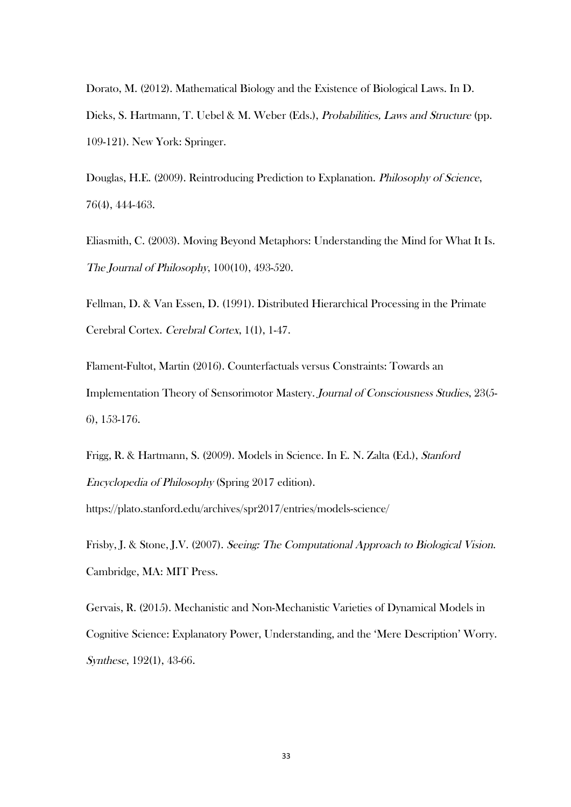Dorato, M. (2012). Mathematical Biology and the Existence of Biological Laws. In D. Dieks, S. Hartmann, T. Uebel & M. Weber (Eds.), Probabilities, Laws and Structure (pp. 109-121). New York: Springer.

Douglas, H.E. (2009). Reintroducing Prediction to Explanation. Philosophy of Science, 76(4), 444-463.

Eliasmith, C. (2003). Moving Beyond Metaphors: Understanding the Mind for What It Is. The Journal of Philosophy, 100(10), 493-520.

Fellman, D. & Van Essen, D. (1991). Distributed Hierarchical Processing in the Primate Cerebral Cortex. Cerebral Cortex, 1(1), 1-47.

Flament-Fultot, Martin (2016). Counterfactuals versus Constraints: Towards an Implementation Theory of Sensorimotor Mastery. Journal of Consciousness Studies, 23(5- 6), 153-176.

Frigg, R. & Hartmann, S. (2009). Models in Science. In E. N. Zalta (Ed.), Stanford Encyclopedia of Philosophy (Spring 2017 edition).

https://plato.stanford.edu/archives/spr2017/entries/models-science/

Frisby, J. & Stone, J.V. (2007). Seeing: The Computational Approach to Biological Vision. Cambridge, MA: MIT Press.

Gervais, R. (2015). Mechanistic and Non-Mechanistic Varieties of Dynamical Models in Cognitive Science: Explanatory Power, Understanding, and the 'Mere Description' Worry. Synthese, 192(1), 43-66.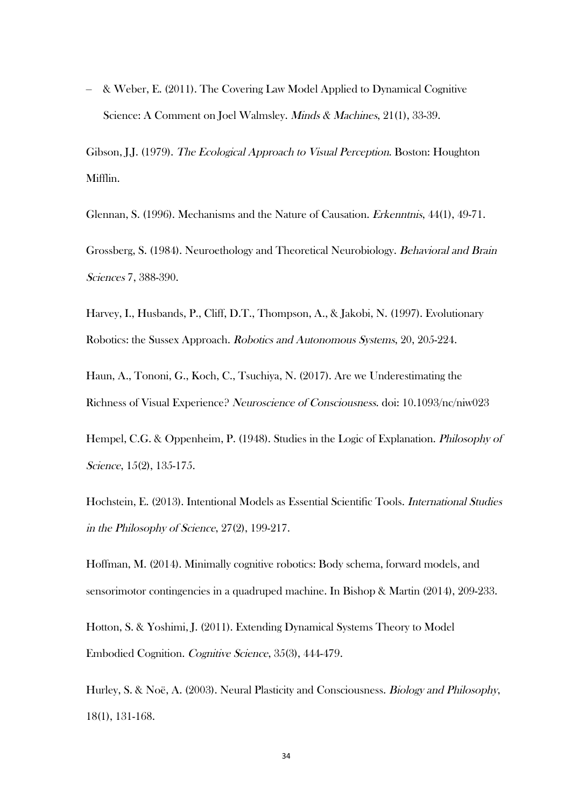– & Weber, E. (2011). The Covering Law Model Applied to Dynamical Cognitive Science: A Comment on Joel Walmsley. Minds & Machines, 21(1), 33-39.

Gibson, J.J. (1979). The Ecological Approach to Visual Perception. Boston: Houghton Mifflin.

Glennan, S. (1996). Mechanisms and the Nature of Causation. Erkenntnis, 44(1), 49-71.

Grossberg, S. (1984). Neuroethology and Theoretical Neurobiology. Behavioral and Brain Sciences 7, 388-390.

Harvey, I., Husbands, P., Cliff, D.T., Thompson, A., & Jakobi, N. (1997). Evolutionary Robotics: the Sussex Approach. Robotics and Autonomous Systems, 20, 205-224.

Haun, A., Tononi, G., Koch, C., Tsuchiya, N. (2017). Are we Underestimating the Richness of Visual Experience? Neuroscience of Consciousness. doi: 10.1093/nc/niw023

Hempel, C.G. & Oppenheim, P. (1948). Studies in the Logic of Explanation. Philosophy of Science, 15(2), 135-175.

Hochstein, E. (2013). Intentional Models as Essential Scientific Tools. International Studies in the Philosophy of Science, 27(2), 199-217.

Hoffman, M. (2014). Minimally cognitive robotics: Body schema, forward models, and sensorimotor contingencies in a quadruped machine. In Bishop & Martin (2014), 209-233.

Hotton, S. & Yoshimi, J. (2011). Extending Dynamical Systems Theory to Model Embodied Cognition. Cognitive Science, 35(3), 444-479.

Hurley, S. & Noë, A. (2003). Neural Plasticity and Consciousness. Biology and Philosophy, 18(1), 131-168.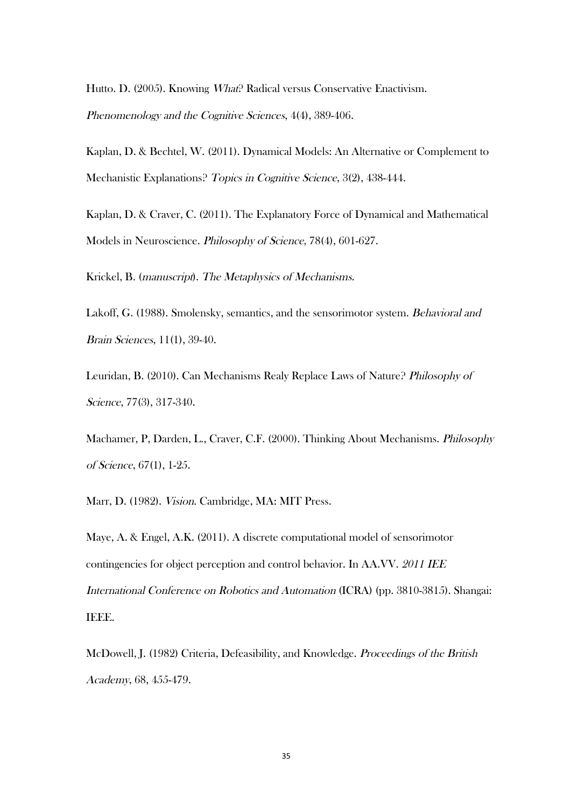Hutto. D. (2005). Knowing What? Radical versus Conservative Enactivism. Phenomenology and the Cognitive Sciences, 4(4), 389-406.

Kaplan, D. & Bechtel, W. (2011). Dynamical Models: An Alternative or Complement to Mechanistic Explanations? Topics in Cognitive Science, 3(2), 438-444.

Kaplan, D. & Craver, C. (2011). The Explanatory Force of Dynamical and Mathematical Models in Neuroscience. Philosophy of Science, 78(4), 601-627.

Krickel, B. (manuscript). The Metaphysics of Mechanisms.

Lakoff, G. (1988). Smolensky, semantics, and the sensorimotor system. Behavioral and Brain Sciences, 11(1), 39-40.

Leuridan, B. (2010). Can Mechanisms Realy Replace Laws of Nature? Philosophy of Science, 77(3), 317-340.

Machamer, P, Darden, L., Craver, C.F. (2000). Thinking About Mechanisms. Philosophy of Science, 67(1), 1-25.

Marr, D. (1982). Vision. Cambridge, MA: MIT Press.

Maye, A. & Engel, A.K. (2011). A discrete computational model of sensorimotor contingencies for object perception and control behavior. In AA.VV. 2011 IEE International Conference on Robotics and Automation (ICRA) (pp. 3810-3815). Shangai: IEEE.

McDowell, J. (1982) Criteria, Defeasibility, and Knowledge. Proceedings of the British Academy, 68, 455-479.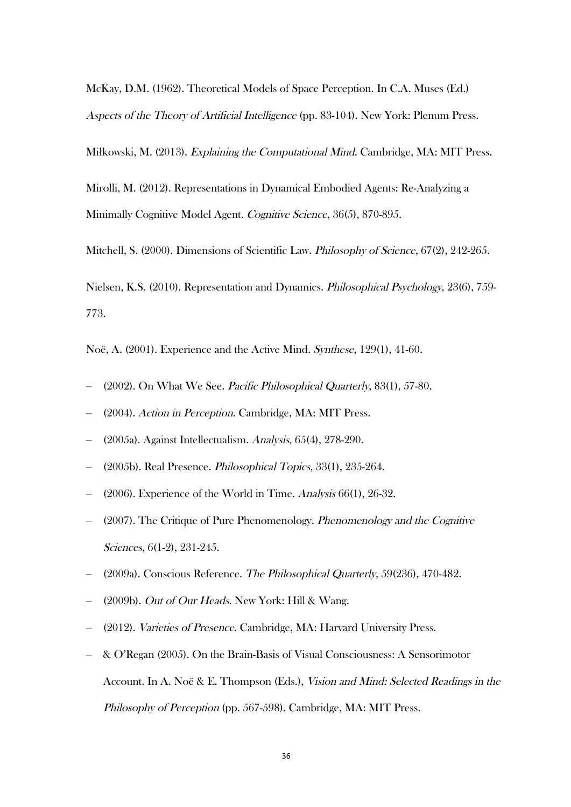McKay, D.M. (1962). Theoretical Models of Space Perception. In C.A. Muses (Ed.) Aspects of the Theory of Artificial Intelligence (pp. 83-104). New York: Plenum Press.

Miłkowski, M. (2013). Explaining the Computational Mind. Cambridge, MA: MIT Press.

Mirolli, M. (2012). Representations in Dynamical Embodied Agents: Re-Analyzing a Minimally Cognitive Model Agent. Cognitive Science, 36(5), 870-895.

Mitchell, S. (2000). Dimensions of Scientific Law. Philosophy of Science, 67(2), 242-265.

Nielsen, K.S. (2010). Representation and Dynamics. Philosophical Psychology, 23(6), 759- 773.

Noë, A. (2001). Experience and the Active Mind. Synthese, 129(1), 41-60.

- (2002). On What We See. Pacific Philosophical Quarterly, 83(1), 57-80.
- (2004). Action in Perception. Cambridge, MA: MIT Press.
- (2005a). Against Intellectualism. Analysis, 65(4), 278-290.
- (2005b). Real Presence. Philosophical Topics, 33(1), 235-264.
- (2006). Experience of the World in Time. Analysis 66(1), 26-32.
- (2007). The Critique of Pure Phenomenology. Phenomenology and the Cognitive Sciences, 6(1-2), 231-245.
- (2009a). Conscious Reference. The Philosophical Quarterly, 59(236), 470-482.
- (2009b). Out of Our Heads. New York: Hill & Wang.
- (2012). Varieties of Presence. Cambridge, MA: Harvard University Press.
- & O'Regan (2005). On the Brain-Basis of Visual Consciousness: A Sensorimotor Account. In A. Noë & E. Thompson (Eds.), Vision and Mind: Selected Readings in the Philosophy of Perception (pp. 567-598). Cambridge, MA: MIT Press.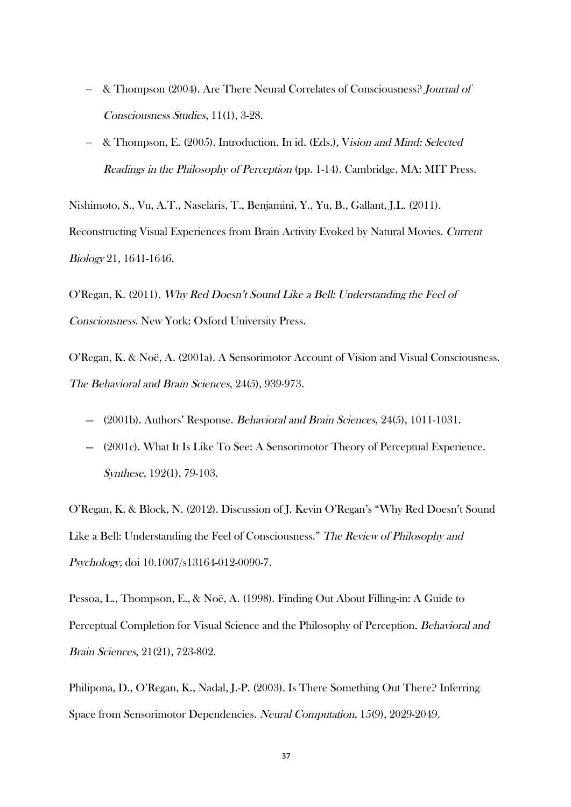- & Thompson (2004). Are There Neural Correlates of Consciousness? Journal of Consciousness Studies, 11(1), 3-28.
- & Thompson, E. (2005). Introduction. In id. (Eds.), Vision and Mind: Selected Readings in the Philosophy of Perception (pp. 1-14). Cambridge, MA: MIT Press.

Nishimoto, S., Vu, A.T., Naselaris, T., Benjamini, Y., Yu, B., Gallant, J.L. (2011). Reconstructing Visual Experiences from Brain Activity Evoked by Natural Movies. Current Biology 21, 1641-1646.

O'Regan, K. (2011). Why Red Doesn't Sound Like a Bell: Understanding the Feel of Consciousness. New York: Oxford University Press.

O'Regan, K. & Noë, A. (2001a). A Sensorimotor Account of Vision and Visual Consciousness. The Behavioral and Brain Sciences, 24(5), 939-973.

- (2001b). Authors' Response. Behavioral and Brain Sciences, 24(5), 1011-1031.
- (2001c). What It Is Like To See: A Sensorimotor Theory of Perceptual Experience. Synthese, 192(1), 79-103.

O'Regan, K. & Block, N. (2012). Discussion of J. Kevin O'Regan's "Why Red Doesn't Sound Like a Bell: Understanding the Feel of Consciousness." The Review of Philosophy and Psychology, doi 10.1007/s13164-012-0090-7.

Pessoa, L., Thompson, E., & Noë, A. (1998). Finding Out About Filling-in: A Guide to Perceptual Completion for Visual Science and the Philosophy of Perception. Behavioral and Brain Sciences, 21(21), 723-802.

Philipona, D., O'Regan, K., Nadal, J.-P. (2003). Is There Something Out There? Inferring Space from Sensorimotor Dependencies. Neural Computation, 15(9), 2029-2049.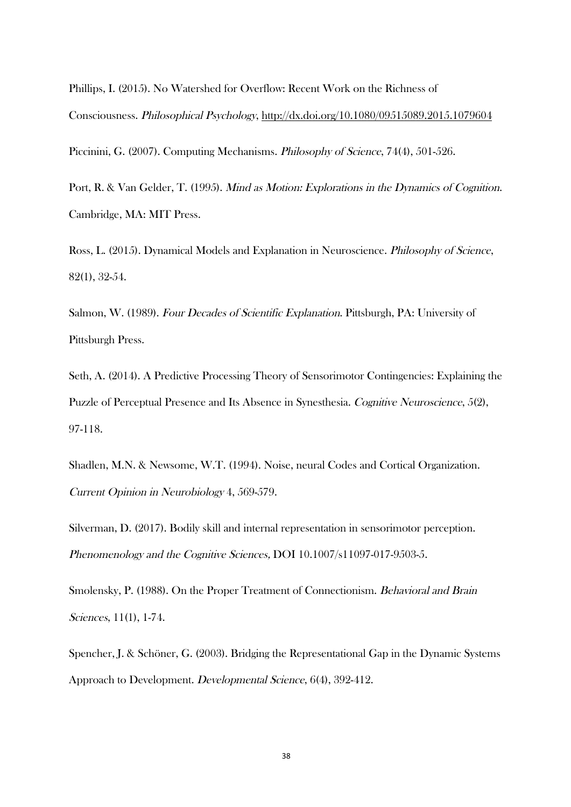Phillips, I. (2015). No Watershed for Overflow: Recent Work on the Richness of Consciousness. Philosophical Psychology, http://dx.doi.org/10.1080/09515089.2015.1079604

Piccinini, G. (2007). Computing Mechanisms. Philosophy of Science, 74(4), 501-526.

Port, R. & Van Gelder, T. (1995). Mind as Motion: Explorations in the Dynamics of Cognition. Cambridge, MA: MIT Press.

Ross, L. (2015). Dynamical Models and Explanation in Neuroscience. Philosophy of Science, 82(1), 32-54.

Salmon, W. (1989). Four Decades of Scientific Explanation. Pittsburgh, PA: University of Pittsburgh Press.

Seth, A. (2014). A Predictive Processing Theory of Sensorimotor Contingencies: Explaining the Puzzle of Perceptual Presence and Its Absence in Synesthesia. Cognitive Neuroscience, 5(2), 97-118.

Shadlen, M.N. & Newsome, W.T. (1994). Noise, neural Codes and Cortical Organization. Current Opinion in Neurobiology 4, 569-579.

Silverman, D. (2017). Bodily skill and internal representation in sensorimotor perception. Phenomenology and the Cognitive Sciences, DOI 10.1007/s11097-017-9503-5.

Smolensky, P. (1988). On the Proper Treatment of Connectionism. Behavioral and Brain Sciences, 11(1), 1-74.

Spencher, J. & Schöner, G. (2003). Bridging the Representational Gap in the Dynamic Systems Approach to Development. Developmental Science, 6(4), 392-412.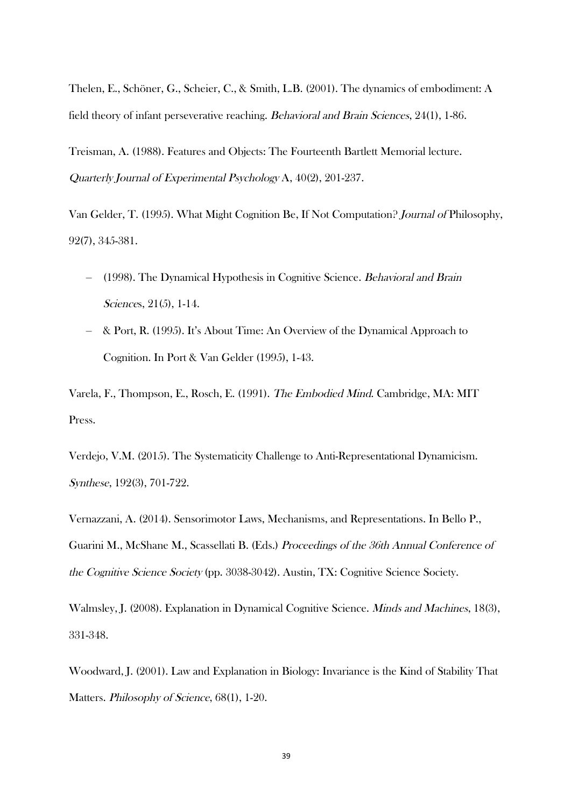Thelen, E., Schöner, G., Scheier, C., & Smith, L.B. (2001). The dynamics of embodiment: A field theory of infant perseverative reaching. Behavioral and Brain Sciences, 24(1), 1-86.

Treisman, A. (1988). Features and Objects: The Fourteenth Bartlett Memorial lecture. Quarterly Journal of Experimental Psychology A, 40(2), 201-237.

Van Gelder, T. (1995). What Might Cognition Be, If Not Computation? Journal of Philosophy, 92(7), 345-381.

- (1998). The Dynamical Hypothesis in Cognitive Science. Behavioral and Brain Sciences, 21(5), 1-14.
- & Port, R. (1995). It's About Time: An Overview of the Dynamical Approach to Cognition. In Port & Van Gelder (1995), 1-43.

Varela, F., Thompson, E., Rosch, E. (1991). The Embodied Mind. Cambridge, MA: MIT Press.

Verdejo, V.M. (2015). The Systematicity Challenge to Anti-Representational Dynamicism. Synthese, 192(3), 701-722.

Vernazzani, A. (2014). Sensorimotor Laws, Mechanisms, and Representations. In Bello P., Guarini M., McShane M., Scassellati B. (Eds.) Proceedings of the 36th Annual Conference of the Cognitive Science Society (pp. 3038-3042). Austin, TX: Cognitive Science Society.

Walmsley, J. (2008). Explanation in Dynamical Cognitive Science. Minds and Machines, 18(3), 331-348.

Woodward, J. (2001). Law and Explanation in Biology: Invariance is the Kind of Stability That Matters. Philosophy of Science, 68(1), 1-20.